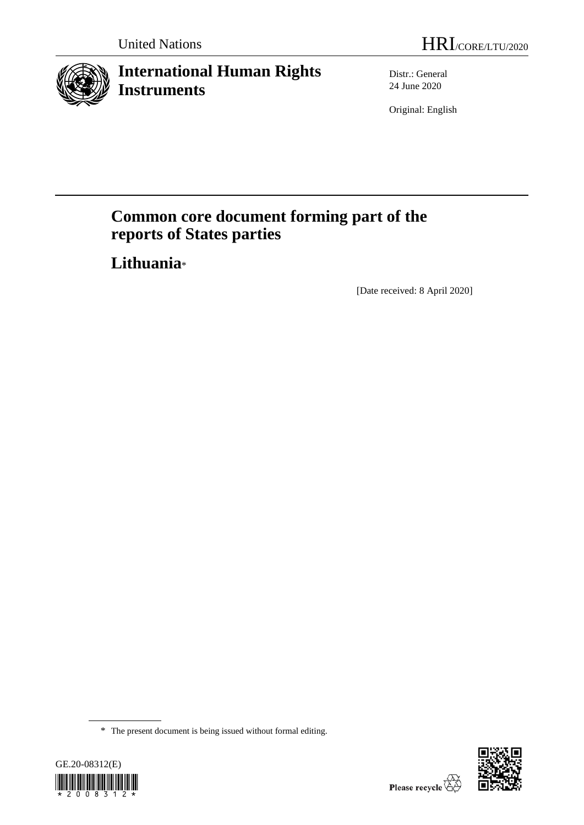

# **International Human Rights Instruments**

Distr.: General 24 June 2020

Original: English

# **Common core document forming part of the reports of States parties**

**Lithuania**\*

[Date received: 8 April 2020]

<sup>\*</sup> The present document is being issued without formal editing.



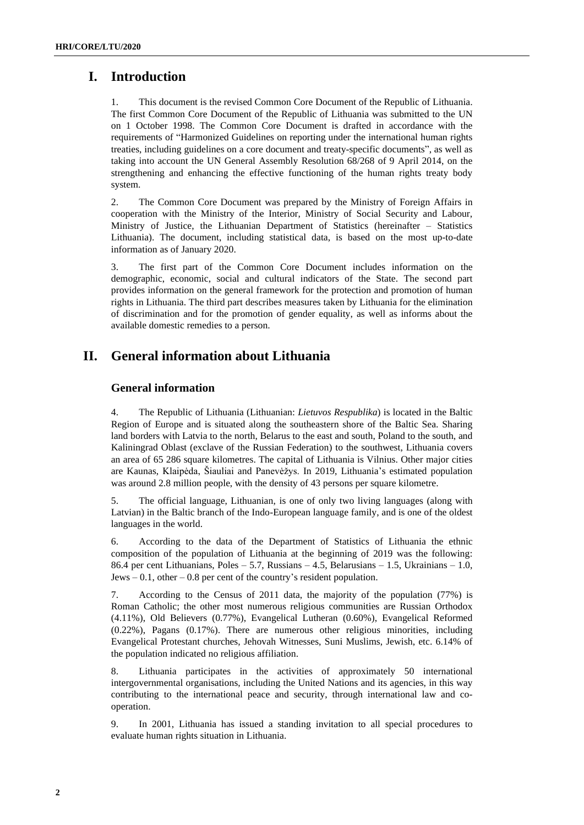## **I. Introduction**

1. This document is the revised Common Core Document of the Republic of Lithuania. The first Common Core Document of the Republic of Lithuania was submitted to the UN on 1 October 1998. The Common Core Document is drafted in accordance with the requirements of "Harmonized Guidelines on reporting under the international human rights treaties, including guidelines on a core document and treaty-specific documents", as well as taking into account the UN General Assembly Resolution 68/268 of 9 April 2014, on the strengthening and enhancing the effective functioning of the human rights treaty body system.

2. The Common Core Document was prepared by the Ministry of Foreign Affairs in cooperation with the Ministry of the Interior, Ministry of Social Security and Labour, Ministry of Justice, the Lithuanian Department of Statistics (hereinafter – Statistics Lithuania). The document, including statistical data, is based on the most up-to-date information as of January 2020.

3. The first part of the Common Core Document includes information on the demographic, economic, social and cultural indicators of the State. The second part provides information on the general framework for the protection and promotion of human rights in Lithuania. The third part describes measures taken by Lithuania for the elimination of discrimination and for the promotion of gender equality, as well as informs about the available domestic remedies to a person.

## **II. General information about Lithuania**

## **General information**

4. The Republic of Lithuania (Lithuanian: *Lietuvos Respublika*) is located in the Baltic Region of Europe and is situated along the southeastern shore of the Baltic Sea. Sharing land borders with Latvia to the north, Belarus to the east and south, Poland to the south, and Kaliningrad Oblast (exclave of the Russian Federation) to the southwest, Lithuania covers an area of 65 286 square kilometres. The capital of Lithuania is Vilnius. Other major cities are Kaunas, Klaipėda, Šiauliai and Panevėžys. In 2019, Lithuania's estimated population was around 2.8 million people, with the density of 43 persons per square kilometre.

5. The official language, Lithuanian, is one of only two living languages (along with Latvian) in the Baltic branch of the Indo-European language family, and is one of the oldest languages in the world.

6. According to the data of the Department of Statistics of Lithuania the ethnic composition of the population of Lithuania at the beginning of 2019 was the following: 86.4 per cent Lithuanians, Poles – 5.7, Russians – 4.5, Belarusians – 1.5, Ukrainians – 1.0, Jews  $-0.1$ , other  $-0.8$  per cent of the country's resident population.

7. According to the Census of 2011 data, the majority of the population (77%) is Roman Catholic; the other most numerous religious communities are Russian Orthodox (4.11%), Old Believers (0.77%), Evangelical Lutheran (0.60%), Evangelical Reformed (0.22%), Pagans (0.17%). There are numerous other religious minorities, including Evangelical Protestant churches, Jehovah Witnesses, Suni Muslims, Jewish, etc. 6.14% of the population indicated no religious affiliation.

8. Lithuania participates in the activities of approximately 50 international intergovernmental organisations, including the United Nations and its agencies, in this way contributing to the international peace and security, through international law and cooperation.

9. In 2001, Lithuania has issued a standing invitation to all special procedures to evaluate human rights situation in Lithuania.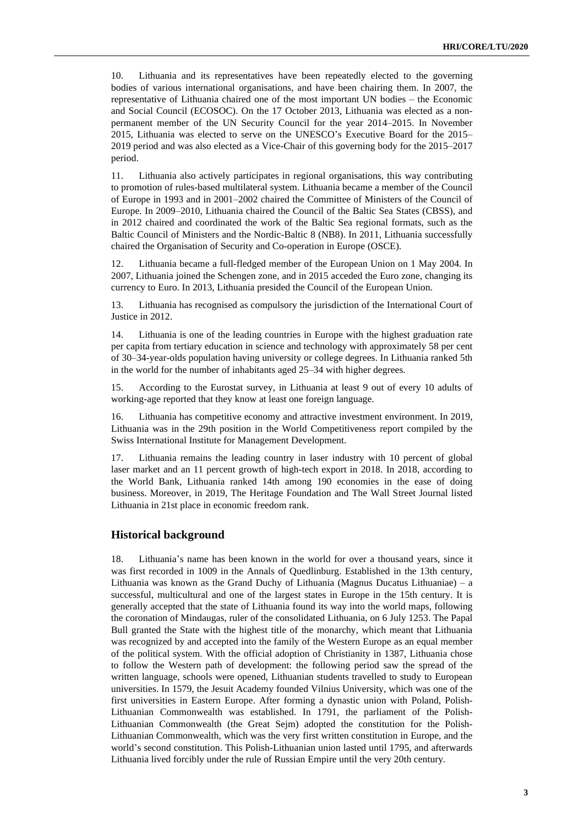10. Lithuania and its representatives have been repeatedly elected to the governing bodies of various international organisations, and have been chairing them. In 2007, the representative of Lithuania chaired one of the most important UN bodies – the Economic and Social Council (ECOSOC). On the 17 October 2013, Lithuania was elected as a nonpermanent member of the UN Security Council for the year 2014–2015. In November 2015, Lithuania was elected to serve on the UNESCO's Executive Board for the 2015– 2019 period and was also elected as a Vice-Chair of this governing body for the 2015–2017 period.

11. Lithuania also actively participates in regional organisations, this way contributing to promotion of rules-based multilateral system. Lithuania became a member of the Council of Europe in 1993 and in 2001–2002 chaired the Committee of Ministers of the Council of Europe. In 2009–2010, Lithuania chaired the Council of the Baltic Sea States (CBSS), and in 2012 chaired and coordinated the work of the Baltic Sea regional formats, such as the Baltic Council of Ministers and the Nordic-Baltic 8 (NB8). In 2011, Lithuania successfully chaired the Organisation of Security and Co-operation in Europe (OSCE).

12. Lithuania became a full-fledged member of the European Union on 1 May 2004. In 2007, Lithuania joined the Schengen zone, and in 2015 acceded the Euro zone, changing its currency to Euro. In 2013, Lithuania presided the Council of the European Union.

13. Lithuania has recognised as compulsory the jurisdiction of the International Court of Justice in 2012.

14. Lithuania is one of the leading countries in Europe with the highest graduation rate per capita from tertiary education in science and technology with approximately 58 per cent of 30–34-year-olds population having university or college degrees. In Lithuania ranked 5th in the world for the number of inhabitants aged 25–34 with higher degrees.

15. According to the Eurostat survey, in Lithuania at least 9 out of every 10 adults of working-age reported that they know at least one foreign language.

16. Lithuania has competitive economy and attractive investment environment. In 2019, Lithuania was in the 29th position in the World Competitiveness report compiled by the Swiss International Institute for Management Development.

17. Lithuania remains the leading country in laser industry with 10 percent of global laser market and an 11 percent growth of high-tech export in 2018. In 2018, according to the World Bank, Lithuania ranked 14th among 190 economies in the ease of doing business. Moreover, in 2019, The Heritage Foundation and The Wall Street Journal listed Lithuania in 21st place in economic freedom rank.

#### **Historical background**

18. Lithuania's name has been known in the world for over a thousand years, since it was first recorded in 1009 in the Annals of Quedlinburg. Established in the 13th century, Lithuania was known as the Grand Duchy of Lithuania (Magnus Ducatus Lithuaniae) – a successful, multicultural and one of the largest states in Europe in the 15th century. It is generally accepted that the state of Lithuania found its way into the world maps, following the coronation of Mindaugas, ruler of the consolidated Lithuania, on 6 July 1253. The Papal Bull granted the State with the highest title of the monarchy, which meant that Lithuania was recognized by and accepted into the family of the Western Europe as an equal member of the political system. With the official adoption of Christianity in 1387, Lithuania chose to follow the Western path of development: the following period saw the spread of the written language, schools were opened, Lithuanian students travelled to study to European universities. In 1579, the Jesuit Academy founded Vilnius University, which was one of the first universities in Eastern Europe. After forming a dynastic union with Poland, Polish-Lithuanian Commonwealth was established. In 1791, the parliament of the Polish-Lithuanian Commonwealth (the Great Sejm) adopted the constitution for the Polish-Lithuanian Commonwealth, which was the very first written constitution in Europe, and the world's second constitution. This Polish-Lithuanian union lasted until 1795, and afterwards Lithuania lived forcibly under the rule of Russian Empire until the very 20th century.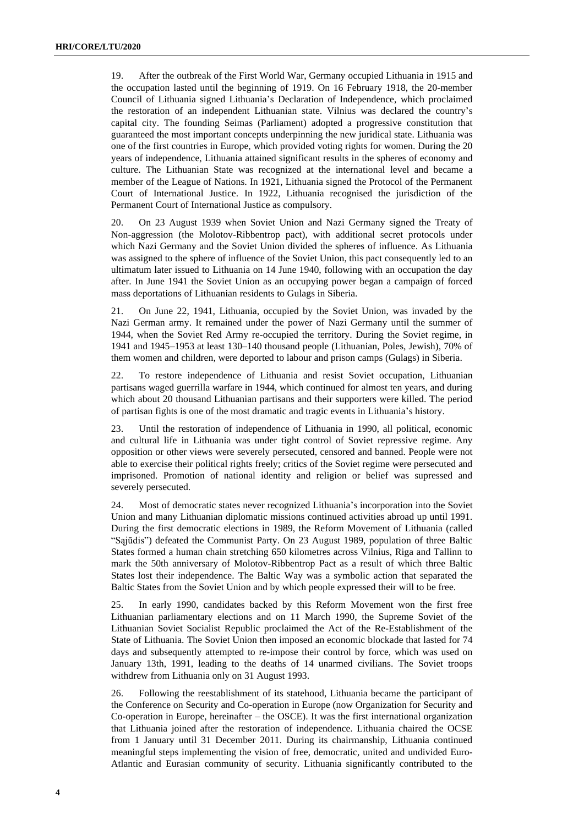19. After the outbreak of the First World War, Germany occupied Lithuania in 1915 and the occupation lasted until the beginning of 1919. On 16 February 1918, the 20-member Council of Lithuania signed Lithuania's Declaration of Independence, which proclaimed the restoration of an independent Lithuanian state. Vilnius was declared the country's capital city. The founding Seimas (Parliament) adopted a progressive constitution that guaranteed the most important concepts underpinning the new juridical state. Lithuania was one of the first countries in Europe, which provided voting rights for women. During the 20 years of independence, Lithuania attained significant results in the spheres of economy and culture. The Lithuanian State was recognized at the international level and became a member of the League of Nations. In 1921, Lithuania signed the Protocol of the Permanent Court of International Justice. In 1922, Lithuania recognised the jurisdiction of the Permanent Court of International Justice as compulsory.

20. On 23 August 1939 when Soviet Union and Nazi Germany signed the Treaty of Non-aggression (the Molotov-Ribbentrop pact), with additional secret protocols under which Nazi Germany and the Soviet Union divided the spheres of influence. As Lithuania was assigned to the sphere of influence of the Soviet Union, this pact consequently led to an ultimatum later issued to Lithuania on 14 June 1940, following with an occupation the day after. In June 1941 the Soviet Union as an occupying power began a campaign of forced mass deportations of Lithuanian residents to Gulags in Siberia.

21. On June 22, 1941, Lithuania, occupied by the Soviet Union, was invaded by the Nazi German army. It remained under the power of Nazi Germany until the summer of 1944, when the Soviet Red Army re-occupied the territory. During the Soviet regime, in 1941 and 1945–1953 at least 130–140 thousand people (Lithuanian, Poles, Jewish), 70% of them women and children, were deported to labour and prison camps (Gulags) in Siberia.

22. To restore independence of Lithuania and resist Soviet occupation, Lithuanian partisans waged guerrilla warfare in 1944, which continued for almost ten years, and during which about 20 thousand Lithuanian partisans and their supporters were killed. The period of partisan fights is one of the most dramatic and tragic events in Lithuania's history.

23. Until the restoration of independence of Lithuania in 1990, all political, economic and cultural life in Lithuania was under tight control of Soviet repressive regime. Any opposition or other views were severely persecuted, censored and banned. People were not able to exercise their political rights freely; critics of the Soviet regime were persecuted and imprisoned. Promotion of national identity and religion or belief was supressed and severely persecuted.

24. Most of democratic states never recognized Lithuania's incorporation into the Soviet Union and many Lithuanian diplomatic missions continued activities abroad up until 1991. During the first democratic elections in 1989, the Reform Movement of Lithuania (called "Sąjūdis") defeated the Communist Party. On 23 August 1989, population of three Baltic States formed a human chain stretching 650 kilometres across Vilnius, Riga and Tallinn to mark the 50th anniversary of Molotov-Ribbentrop Pact as a result of which three Baltic States lost their independence. The Baltic Way was a symbolic action that separated the Baltic States from the Soviet Union and by which people expressed their will to be free.

25. In early 1990, candidates backed by this Reform Movement won the first free Lithuanian parliamentary elections and on 11 March 1990, the Supreme Soviet of the Lithuanian Soviet Socialist Republic proclaimed the Act of the Re-Establishment of the State of Lithuania. The Soviet Union then imposed an economic blockade that lasted for 74 days and subsequently attempted to re-impose their control by force, which was used on January 13th, 1991, leading to the deaths of 14 unarmed civilians. The Soviet troops withdrew from Lithuania only on 31 August 1993.

26. Following the reestablishment of its statehood, Lithuania became the participant of the Conference on Security and Co-operation in Europe (now Organization for Security and Co-operation in Europe, hereinafter – the OSCE). It was the first international organization that Lithuania joined after the restoration of independence. Lithuania chaired the OCSE from 1 January until 31 December 2011. During its chairmanship, Lithuania continued meaningful steps implementing the vision of free, democratic, united and undivided Euro-Atlantic and Eurasian community of security. Lithuania significantly contributed to the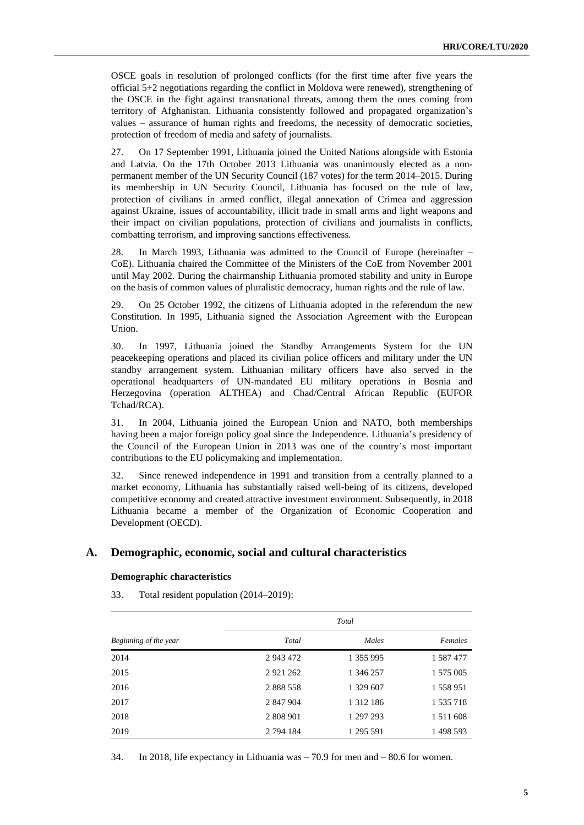OSCE goals in resolution of prolonged conflicts (for the first time after five years the official 5+2 negotiations regarding the conflict in Moldova were renewed), strengthening of the OSCE in the fight against transnational threats, among them the ones coming from territory of Afghanistan. Lithuania consistently followed and propagated organization's values – assurance of human rights and freedoms, the necessity of democratic societies, protection of freedom of media and safety of journalists.

27. On 17 September 1991, Lithuania joined the United Nations alongside with Estonia and Latvia. On the 17th October 2013 Lithuania was unanimously elected as a nonpermanent member of the UN Security Council (187 votes) for the term 2014–2015. During its membership in UN Security Council, Lithuania has focused on the rule of law, protection of civilians in armed conflict, illegal annexation of Crimea and aggression against Ukraine, issues of accountability, illicit trade in small arms and light weapons and their impact on civilian populations, protection of civilians and journalists in conflicts, combatting terrorism, and improving sanctions effectiveness.

28. In March 1993, Lithuania was admitted to the Council of Europe (hereinafter – CoE). Lithuania chaired the Committee of the Ministers of the CoE from November 2001 until May 2002. During the chairmanship Lithuania promoted stability and unity in Europe on the basis of common values of pluralistic democracy, human rights and the rule of law.

29. On 25 October 1992, the citizens of Lithuania adopted in the referendum the new Constitution. In 1995, Lithuania signed the Association Agreement with the European Union.

30. In 1997, Lithuania joined the Standby Arrangements System for the UN peacekeeping operations and placed its civilian police officers and military under the UN standby arrangement system. Lithuanian military officers have also served in the operational headquarters of UN-mandated EU military operations in Bosnia and Herzegovina (operation ALTHEA) and Chad/Central African Republic (EUFOR Tchad/RCA).

31. In 2004, Lithuania joined the European Union and NATO, both memberships having been a major foreign policy goal since the Independence. Lithuania's presidency of the Council of the European Union in 2013 was one of the country's most important contributions to the EU policymaking and implementation.

32. Since renewed independence in 1991 and transition from a centrally planned to a market economy, Lithuania has substantially raised well-being of its citizens, developed competitive economy and created attractive investment environment. Subsequently, in 2018 Lithuania became a member of the Organization of Economic Cooperation and Development (OECD).

#### **A. Demographic, economic, social and cultural characteristics**

#### **Demographic characteristics**

|                       | Total        |               |               |  |  |  |
|-----------------------|--------------|---------------|---------------|--|--|--|
| Beginning of the year | Total        | Males         | Females       |  |  |  |
| 2014                  | 2 943 472    | 1 355 995     | 1 587 477     |  |  |  |
| 2015                  | 2 9 21 2 6 2 | 1 346 257     | 1 575 005     |  |  |  |
| 2016                  | 2 888 558    | 1 329 607     | 1 558 951     |  |  |  |
| 2017                  | 2 847 904    | 1 3 1 2 1 8 6 | 1 535 718     |  |  |  |
| 2018                  | 2 808 901    | 1 297 293     | 1 5 1 1 6 0 8 |  |  |  |
| 2019                  | 2 794 184    | 1 295 591     | 1498593       |  |  |  |

33. Total resident population (2014–2019):

34. In 2018, life expectancy in Lithuania was – 70.9 for men and – 80.6 for women.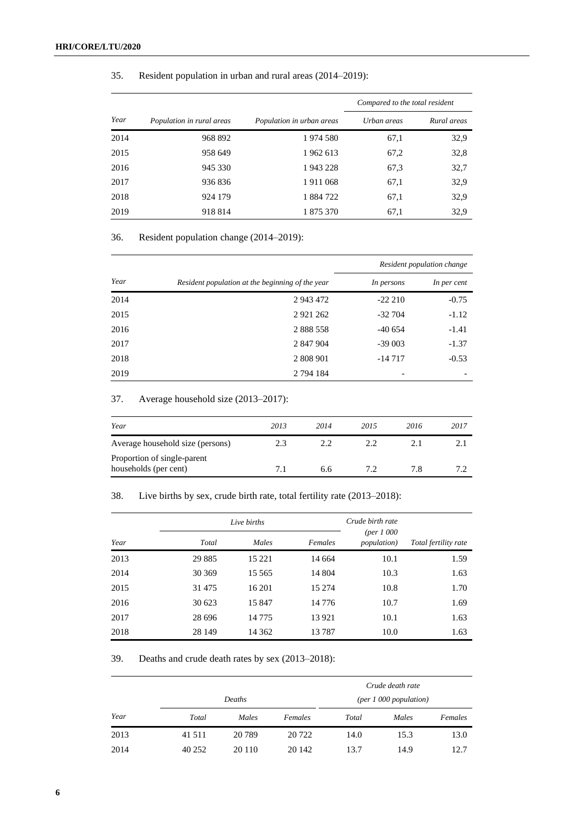| 35. |  |  |  |  |  | Resident population in urban and rural areas (2014–2019): |
|-----|--|--|--|--|--|-----------------------------------------------------------|
|-----|--|--|--|--|--|-----------------------------------------------------------|

|      |                           |                           | Compared to the total resident |             |  |  |
|------|---------------------------|---------------------------|--------------------------------|-------------|--|--|
| Year | Population in rural areas | Population in urban areas | Urban areas                    | Rural areas |  |  |
| 2014 | 968 892                   | 1974 580                  | 67,1                           | 32,9        |  |  |
| 2015 | 958 649                   | 1962 613                  | 67,2                           | 32,8        |  |  |
| 2016 | 945 330                   | 1943228                   | 67,3                           | 32,7        |  |  |
| 2017 | 936836                    | 1911068                   | 67,1                           | 32,9        |  |  |
| 2018 | 924 179                   | 1884722                   | 67,1                           | 32,9        |  |  |
| 2019 | 918 814                   | 1 875 370                 | 67,1                           | 32,9        |  |  |

## 36. Resident population change (2014–2019):

|      |                                                  | Resident population change |             |  |
|------|--------------------------------------------------|----------------------------|-------------|--|
| Year | Resident population at the beginning of the year | In persons                 | In per cent |  |
| 2014 | 2 943 472                                        | $-22210$                   | $-0.75$     |  |
| 2015 | 2 9 21 2 6 2                                     | $-32704$                   | $-1.12$     |  |
| 2016 | 2 888 558                                        | $-40654$                   | $-1.41$     |  |
| 2017 | 2 847 904                                        | $-39003$                   | $-1.37$     |  |
| 2018 | 2 808 901                                        | $-14717$                   | $-0.53$     |  |
| 2019 | 2 794 184                                        |                            |             |  |

## 37. Average household size (2013–2017):

| Year                                                 | 2013 | 2014 | 2015 | 2016 | 2017 |
|------------------------------------------------------|------|------|------|------|------|
| Average household size (persons)                     |      | 2.2  | 2.2  |      |      |
| Proportion of single-parent<br>households (per cent) |      | 6.6  | 7.2  |      | 7 7  |

## 38. Live births by sex, crude birth rate, total fertility rate (2013–2018):

|      |          | Live births | Crude birth rate |                                             |                      |
|------|----------|-------------|------------------|---------------------------------------------|----------------------|
| Year | Total    | Males       | Females          | $(\text{per } 1000)$<br><i>population</i> ) | Total fertility rate |
| 2013 | 29 8 85  | 15 2 21     | 14 664           | 10.1                                        | 1.59                 |
| 2014 | 30 369   | 15 5 65     | 14 804           | 10.3                                        | 1.63                 |
| 2015 | 31 4 7 5 | 16 201      | 15 274           | 10.8                                        | 1.70                 |
| 2016 | 30 623   | 15 847      | 14 7 7 6         | 10.7                                        | 1.69                 |
| 2017 | 28 696   | 14775       | 13921            | 10.1                                        | 1.63                 |
| 2018 | 28 14 9  | 14 3 62     | 13787            | 10.0                                        | 1.63                 |

39. Deaths and crude death rates by sex (2013–2018):

|      |         |         |         |       | Crude death rate       |         |
|------|---------|---------|---------|-------|------------------------|---------|
|      | Deaths  |         |         |       | (per 1 000 population) |         |
| Year | Total   | Males   | Females | Total | Males                  | Females |
| 2013 | 41 511  | 20 7 89 | 20 722  | 14.0  | 15.3                   | 13.0    |
| 2014 | 40 25 2 | 20 110  | 20 14 2 | 13.7  | 14.9                   | 12.7    |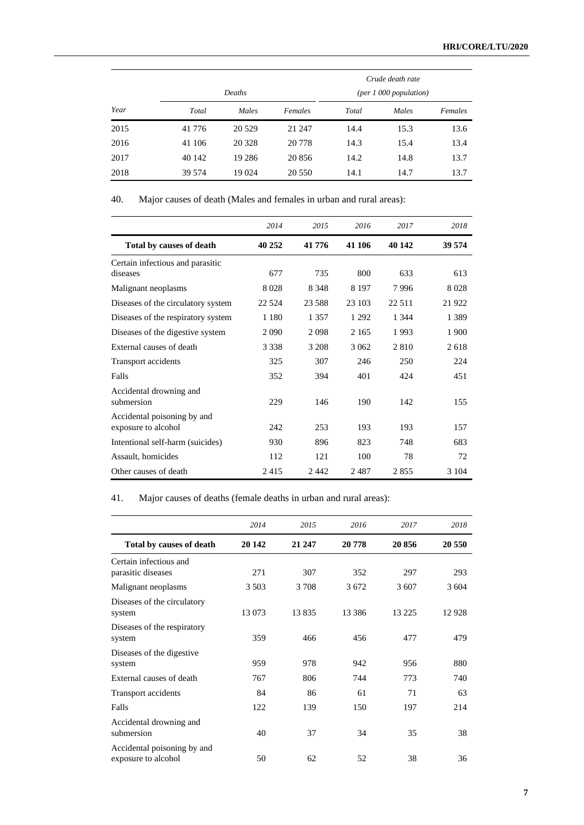|      |        | Deaths   |         |       | Crude death rate<br>(per 1 000 population) |         |
|------|--------|----------|---------|-------|--------------------------------------------|---------|
| Year | Total  | Males    | Females | Total | Males                                      | Females |
| 2015 | 41 776 | 20 5 29  | 21 247  | 14.4  | 15.3                                       | 13.6    |
| 2016 | 41 106 | 20 3 28  | 20 778  | 14.3  | 15.4                                       | 13.4    |
| 2017 | 40 142 | 19 2 8 6 | 20 856  | 14.2  | 14.8                                       | 13.7    |
| 2018 | 39 574 | 19 0 24  | 20 550  | 14.1  | 14.7                                       | 13.7    |

40. Major causes of death (Males and females in urban and rural areas):

|                                                    | 2014    | 2015     | 2016    | 2017    | 2018    |
|----------------------------------------------------|---------|----------|---------|---------|---------|
| Total by causes of death                           | 40 252  | 41 776   | 41 106  | 40 142  | 39 574  |
| Certain infectious and parasitic<br>diseases       | 677     | 735      | 800     | 633     | 613     |
| Malignant neoplasms                                | 8 0 2 8 | 8 3 4 8  | 8 1 9 7 | 7996    | 8 0 2 8 |
| Diseases of the circulatory system                 | 22.524  | 23 5 8 8 | 23 103  | 22.511  | 21 922  |
| Diseases of the respiratory system                 | 1 1 8 0 | 1 3 5 7  | 1 2 9 2 | 1 3 4 4 | 1 3 8 9 |
| Diseases of the digestive system                   | 2090    | 2098     | 2 1 6 5 | 1993    | 1 900   |
| External causes of death                           | 3 3 3 8 | 3 2 0 8  | 3 0 6 2 | 2810    | 2618    |
| Transport accidents                                | 325     | 307      | 246     | 250     | 224     |
| Falls                                              | 352     | 394      | 401     | 424     | 451     |
| Accidental drowning and<br>submersion              | 229     | 146      | 190     | 142     | 155     |
| Accidental poisoning by and<br>exposure to alcohol | 242     | 253      | 193     | 193     | 157     |
| Intentional self-harm (suicides)                   | 930     | 896      | 823     | 748     | 683     |
| Assault, homicides                                 | 112     | 121      | 100     | 78      | 72      |
| Other causes of death                              | 2415    | 2442     | 2487    | 2855    | 3 1 0 4 |

41. Major causes of deaths (female deaths in urban and rural areas):

|                                                    | 2014    | 2015    | 2016     | 2017     | 2018   |
|----------------------------------------------------|---------|---------|----------|----------|--------|
| Total by causes of death                           | 20 14 2 | 21 247  | 20778    | 20856    | 20 550 |
| Certain infectious and<br>parasitic diseases       | 271     | 307     | 352      | 297      | 293    |
| Malignant neoplasms                                | 3 5 0 3 | 3 7 0 8 | 3672     | 3 607    | 3 604  |
| Diseases of the circulatory<br>system              | 13 073  | 13835   | 13 3 8 6 | 13 2 2 5 | 12928  |
| Diseases of the respiratory<br>system              | 359     | 466     | 456      | 477      | 479    |
| Diseases of the digestive<br>system                | 959     | 978     | 942      | 956      | 880    |
| External causes of death                           | 767     | 806     | 744      | 773      | 740    |
| Transport accidents                                | 84      | 86      | 61       | 71       | 63     |
| Falls                                              | 122     | 139     | 150      | 197      | 214    |
| Accidental drowning and<br>submersion              | 40      | 37      | 34       | 35       | 38     |
| Accidental poisoning by and<br>exposure to alcohol | 50      | 62      | 52       | 38       | 36     |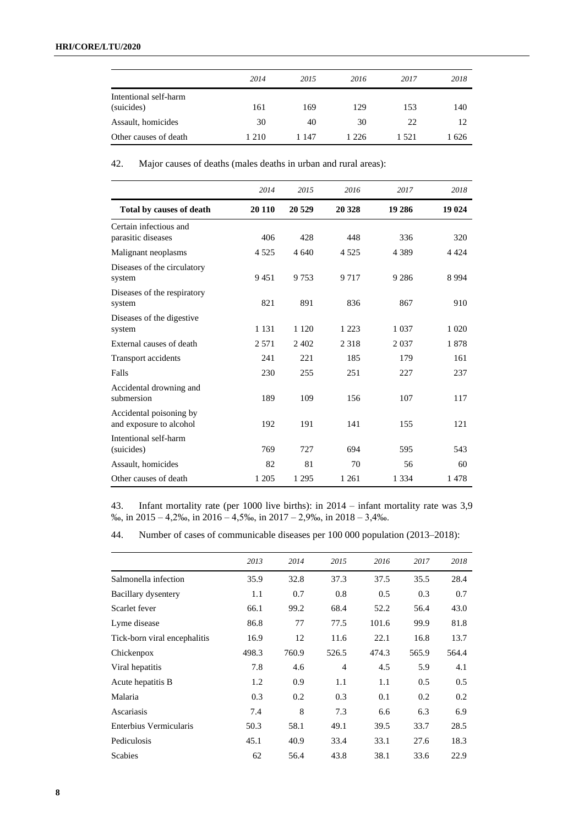|                                     | 2014 | 2015    | 2016    | 2017  | 2018 |
|-------------------------------------|------|---------|---------|-------|------|
| Intentional self-harm<br>(suicides) | 161  | 169     | 129     | 153   | 140  |
| Assault, homicides                  | 30   | 40      | 30      | 22    | 12   |
| Other causes of death               | 210  | 1 1 4 7 | 1 2 2 6 | 1.521 | 1626 |

42. Major causes of deaths (males deaths in urban and rural areas):

|                                                    | 2014    | 2015    | 2016    | 2017    | 2018    |
|----------------------------------------------------|---------|---------|---------|---------|---------|
| Total by causes of death                           | 20 110  | 20 5 29 | 20 328  | 19 28 6 | 19 024  |
| Certain infectious and<br>parasitic diseases       | 406     | 428     | 448     | 336     | 320     |
| Malignant neoplasms                                | 4 5 2 5 | 4 6 4 0 | 4 5 2 5 | 4 3 8 9 | 4 4 2 4 |
| Diseases of the circulatory<br>system              | 9451    | 9 7 5 3 | 9 7 1 7 | 9 2 8 6 | 8994    |
| Diseases of the respiratory<br>system              | 821     | 891     | 836     | 867     | 910     |
| Diseases of the digestive<br>system                | 1 1 3 1 | 1 1 2 0 | 1 2 2 3 | 1 0 3 7 | 1 0 2 0 |
| External causes of death                           | 2 5 7 1 | 2 4 0 2 | 2 3 1 8 | 2037    | 1878    |
| Transport accidents                                | 241     | 221     | 185     | 179     | 161     |
| Falls                                              | 230     | 255     | 251     | 227     | 237     |
| Accidental drowning and<br>submersion              | 189     | 109     | 156     | 107     | 117     |
| Accidental poisoning by<br>and exposure to alcohol | 192     | 191     | 141     | 155     | 121     |
| Intentional self-harm<br>(suicides)                | 769     | 727     | 694     | 595     | 543     |
| Assault, homicides                                 | 82      | 81      | 70      | 56      | 60      |
| Other causes of death                              | 1 2 0 5 | 1 2 9 5 | 1 2 6 1 | 1 3 3 4 | 1478    |

43. Infant mortality rate (per 1000 live births): in 2014 – infant mortality rate was 3,9 ‰, in 2015 – 4,2‰, in 2016 – 4,5‰, in 2017 – 2,9‰, in 2018 – 3,4‰.

44. Number of cases of communicable diseases per 100 000 population (2013–2018):

|                              | 2013  | 2014  | 2015           | 2016  | 2017  | 2018  |
|------------------------------|-------|-------|----------------|-------|-------|-------|
| Salmonella infection         | 35.9  | 32.8  | 37.3           | 37.5  | 35.5  | 28.4  |
| Bacillary dysentery          | 1.1   | 0.7   | 0.8            | 0.5   | 0.3   | 0.7   |
| Scarlet fever                | 66.1  | 99.2  | 68.4           | 52.2  | 56.4  | 43.0  |
| Lyme disease                 | 86.8  | 77    | 77.5           | 101.6 | 99.9  | 81.8  |
| Tick-born viral encephalitis | 16.9  | 12    | 11.6           | 22.1  | 16.8  | 13.7  |
| Chickenpox                   | 498.3 | 760.9 | 526.5          | 474.3 | 565.9 | 564.4 |
| Viral hepatitis              | 7.8   | 4.6   | $\overline{4}$ | 4.5   | 5.9   | 4.1   |
| Acute hepatitis B            | 1.2   | 0.9   | 1.1            | 1.1   | 0.5   | 0.5   |
| Malaria                      | 0.3   | 0.2   | 0.3            | 0.1   | 0.2   | 0.2   |
| Ascariasis                   | 7.4   | 8     | 7.3            | 6.6   | 6.3   | 6.9   |
| Enterbius Vermicularis       | 50.3  | 58.1  | 49.1           | 39.5  | 33.7  | 28.5  |
| Pediculosis                  | 45.1  | 40.9  | 33.4           | 33.1  | 27.6  | 18.3  |
| <b>Scabies</b>               | 62    | 56.4  | 43.8           | 38.1  | 33.6  | 22.9  |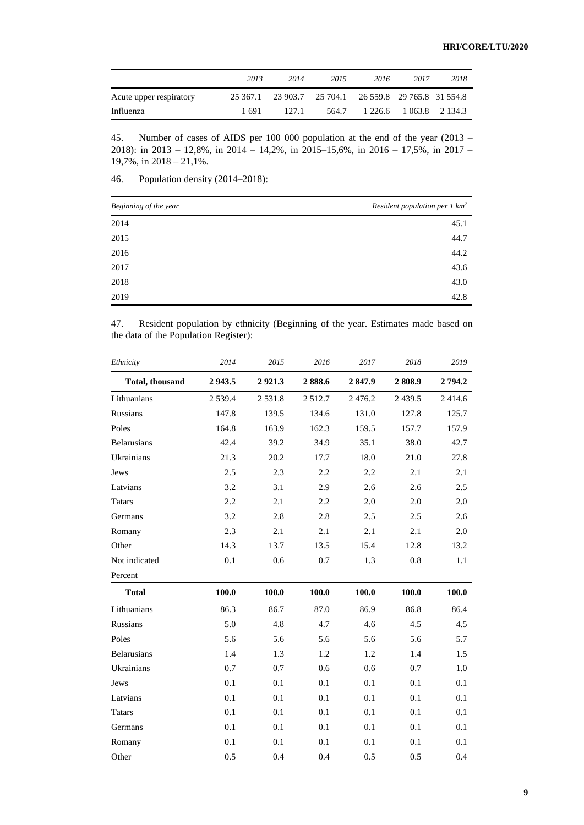|                         | 2013     | 2014  | 2015                                         | 2016 | 2017                    | 2018 |
|-------------------------|----------|-------|----------------------------------------------|------|-------------------------|------|
| Acute upper respiratory | 25 367.1 |       | 23 903.7 25 704.1 26 559.8 29 765.8 31 554.8 |      |                         |      |
| Influenza               | 1 691    | 127.1 | 564.7                                        |      | 1 226.6 1 063.8 2 134.3 |      |

45. Number of cases of AIDS per 100 000 population at the end of the year (2013 – 2018): in 2013 – 12,8%, in 2014 – 14,2%, in 2015–15,6%, in 2016 – 17,5%, in 2017 – 19,7%, in 2018 – 21,1%.

46. Population density (2014–2018):

| Beginning of the year | Resident population per $1 \text{ km}^2$ |
|-----------------------|------------------------------------------|
| 2014                  | 45.1                                     |
| 2015                  | 44.7                                     |
| 2016                  | 44.2                                     |
| 2017                  | 43.6                                     |
| 2018                  | 43.0                                     |
| 2019                  | 42.8                                     |

47. Resident population by ethnicity (Beginning of the year. Estimates made based on the data of the Population Register):

| Ethnicity              | 2014      | 2015   | 2016   | 2017   | 2018      | 2019   |
|------------------------|-----------|--------|--------|--------|-----------|--------|
| <b>Total, thousand</b> | 2943.5    | 2921.3 | 2888.6 | 2847.9 | 2808.9    | 2794.2 |
| Lithuanians            | 2 5 3 9.4 | 2531.8 | 2512.7 | 2476.2 | 2 4 3 9.5 | 2414.6 |
| <b>Russians</b>        | 147.8     | 139.5  | 134.6  | 131.0  | 127.8     | 125.7  |
| Poles                  | 164.8     | 163.9  | 162.3  | 159.5  | 157.7     | 157.9  |
| <b>Belarusians</b>     | 42.4      | 39.2   | 34.9   | 35.1   | 38.0      | 42.7   |
| Ukrainians             | 21.3      | 20.2   | 17.7   | 18.0   | 21.0      | 27.8   |
| Jews                   | 2.5       | 2.3    | 2.2    | 2.2    | 2.1       | 2.1    |
| Latvians               | 3.2       | 3.1    | 2.9    | 2.6    | 2.6       | 2.5    |
| <b>Tatars</b>          | 2.2       | 2.1    | 2.2    | 2.0    | 2.0       | 2.0    |
| Germans                | 3.2       | 2.8    | 2.8    | 2.5    | 2.5       | 2.6    |
| Romany                 | 2.3       | 2.1    | 2.1    | 2.1    | 2.1       | 2.0    |
| Other                  | 14.3      | 13.7   | 13.5   | 15.4   | 12.8      | 13.2   |
| Not indicated          | 0.1       | 0.6    | 0.7    | 1.3    | 0.8       | 1.1    |
| Percent                |           |        |        |        |           |        |
| <b>Total</b>           | 100.0     | 100.0  | 100.0  | 100.0  | 100.0     | 100.0  |
| Lithuanians            | 86.3      | 86.7   | 87.0   | 86.9   | 86.8      | 86.4   |
| Russians               | 5.0       | 4.8    | 4.7    | 4.6    | 4.5       | 4.5    |
| Poles                  | 5.6       | 5.6    | 5.6    | 5.6    | 5.6       | 5.7    |
| <b>Belarusians</b>     | 1.4       | 1.3    | 1.2    | 1.2    | 1.4       | 1.5    |
| Ukrainians             | 0.7       | 0.7    | 0.6    | 0.6    | 0.7       | 1.0    |
| Jews                   | 0.1       | 0.1    | 0.1    | 0.1    | 0.1       | 0.1    |
| Latvians               | 0.1       | 0.1    | 0.1    | 0.1    | 0.1       | 0.1    |
| <b>Tatars</b>          | 0.1       | 0.1    | 0.1    | 0.1    | 0.1       | 0.1    |
| Germans                | 0.1       | 0.1    | 0.1    | 0.1    | 0.1       | 0.1    |

Romany 0.1 0.1 0.1 0.1 0.1 0.1 0.1 Other 0.5 0.4 0.4 0.5 0.5 0.4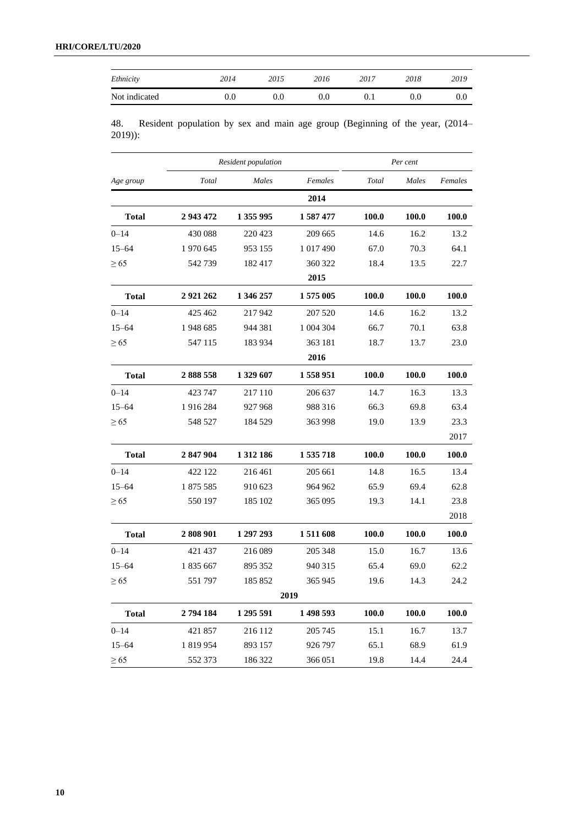| Ethnicity     | 2014 | 2015 | 2016 | 2017 | 2018 | 2019 |
|---------------|------|------|------|------|------|------|
| Not indicated | 0.0  | 0.0  | 0.0  |      | 0.0  | O.U  |

48. Resident population by sex and main age group (Beginning of the year, (2014– 2019)):

| Resident population |           |           |           |       | Per cent     |              |
|---------------------|-----------|-----------|-----------|-------|--------------|--------------|
| Age group           | Total     | Males     | Females   | Total | Males        | Females      |
|                     |           |           | 2014      |       |              |              |
| <b>Total</b>        | 2 943 472 | 1 355 995 | 1587477   | 100.0 | 100.0        | <b>100.0</b> |
| $0 - 14$            | 430 088   | 220 423   | 209 665   | 14.6  | 16.2         | 13.2         |
| $15 - 64$           | 1 970 645 | 953 155   | 1 017 490 | 67.0  | 70.3         | 64.1         |
| $\geq 65$           | 542739    | 182417    | 360 322   | 18.4  | 13.5         | 22.7         |
|                     |           |           | 2015      |       |              |              |
| <b>Total</b>        | 2921262   | 1 346 257 | 1575 005  | 100.0 | 100.0        | 100.0        |
| $0 - 14$            | 425 462   | 217942    | 207 520   | 14.6  | 16.2         | 13.2         |
| $15 - 64$           | 1948 685  | 944 381   | 1 004 304 | 66.7  | 70.1         | 63.8         |
| $\geq 65$           | 547 115   | 183 934   | 363 181   | 18.7  | 13.7         | 23.0         |
|                     |           |           | 2016      |       |              |              |
| <b>Total</b>        | 2888558   | 1 329 607 | 1558951   | 100.0 | 100.0        | 100.0        |
| $0 - 14$            | 423 747   | 217 110   | 206 637   | 14.7  | 16.3         | 13.3         |
| $15 - 64$           | 1916284   | 927 968   | 988 316   | 66.3  | 69.8         | 63.4         |
| $\geq 65$           | 548 527   | 184 529   | 363 998   | 19.0  | 13.9         | 23.3         |
|                     |           |           |           |       |              | 2017         |
| <b>Total</b>        | 2 847 904 | 1 312 186 | 1535718   | 100.0 | 100.0        | 100.0        |
| $0 - 14$            | 422 122   | 216461    | 205 661   | 14.8  | 16.5         | 13.4         |
| $15 - 64$           | 1 875 585 | 910 623   | 964 962   | 65.9  | 69.4         | 62.8         |
| $\geq 65$           | 550 197   | 185 102   | 365 095   | 19.3  | 14.1         | 23.8         |
|                     |           |           |           |       |              | 2018         |
| <b>Total</b>        | 2808901   | 1 297 293 | 1 511 608 | 100.0 | <b>100.0</b> | 100.0        |
| $0 - 14$            | 421 437   | 216 089   | 205 348   | 15.0  | 16.7         | 13.6         |
| $15 - 64$           | 1835 667  | 895 352   | 940 315   | 65.4  | 69.0         | 62.2         |
| $\geq 65$           | 551797    | 185 852   | 365 945   | 19.6  | 14.3         | 24.2         |
|                     |           |           | 2019      |       |              |              |
| <b>Total</b>        | 2794184   | 1 295 591 | 1 498 593 | 100.0 | 100.0        | 100.0        |
| $0 - 14$            | 421 857   | 216 112   | 205 745   | 15.1  | 16.7         | 13.7         |
| $15 - 64$           | 1819954   | 893 157   | 926 797   | 65.1  | 68.9         | 61.9         |
| $\geq 65$           | 552 373   | 186 322   | 366 051   | 19.8  | 14.4         | 24.4         |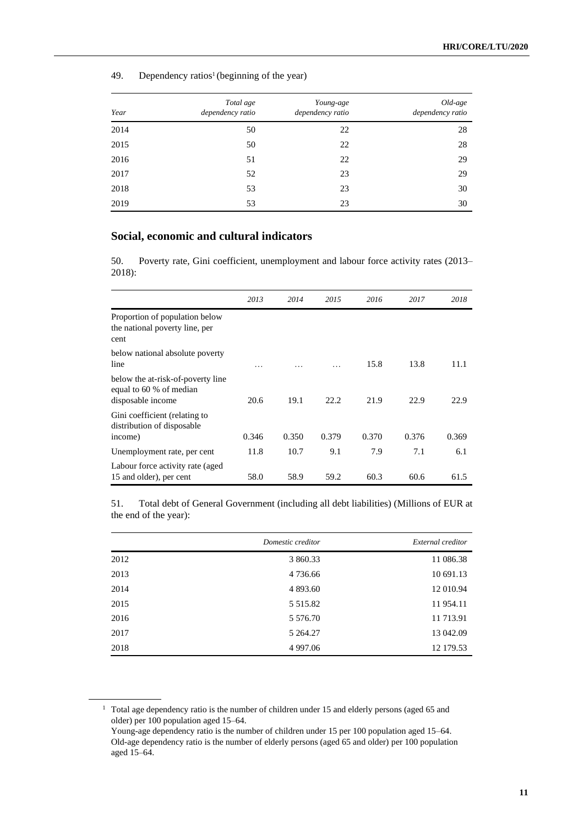| Year | Total age<br>dependency ratio | Young-age<br>dependency ratio | Old-age<br>dependency ratio |
|------|-------------------------------|-------------------------------|-----------------------------|
| 2014 | 50                            | 22                            | 28                          |
| 2015 | 50                            | 22                            | 28                          |
| 2016 | 51                            | 22                            | 29                          |
| 2017 | 52                            | 23                            | 29                          |
| 2018 | 53                            | 23                            | 30                          |
| 2019 | 53                            | 23                            | 30                          |

49. Dependency ratios<sup>1</sup> (beginning of the year)

## **Social, economic and cultural indicators**

50. Poverty rate, Gini coefficient, unemployment and labour force activity rates (2013– 2018):

|                                                                                   | 2013  | 2014  | 2015  | 2016  | 2017  | 2018  |
|-----------------------------------------------------------------------------------|-------|-------|-------|-------|-------|-------|
| Proportion of population below<br>the national poverty line, per<br>cent          |       |       |       |       |       |       |
| below national absolute poverty<br>line                                           | .     |       |       | 15.8  | 13.8  | 11.1  |
| below the at-risk-of-poverty line<br>equal to 60 % of median<br>disposable income | 20.6  | 19.1  | 22.2  | 21.9  | 22.9  | 22.9  |
| Gini coefficient (relating to<br>distribution of disposable<br>income)            | 0.346 | 0.350 | 0.379 | 0.370 | 0.376 | 0.369 |
| Unemployment rate, per cent                                                       | 11.8  | 10.7  | 9.1   | 7.9   | 7.1   | 6.1   |
| Labour force activity rate (aged<br>15 and older), per cent                       | 58.0  | 58.9  | 59.2  | 60.3  | 60.6  | 61.5  |

51. Total debt of General Government (including all debt liabilities) (Millions of EUR at the end of the year):

|      | Domestic creditor | External creditor |
|------|-------------------|-------------------|
| 2012 | 3 860.33          | 11 086.38         |
| 2013 | 4 7 3 6 . 6 6     | 10 691.13         |
| 2014 | 4 893.60          | 12 010.94         |
| 2015 | 5 5 1 5 .8 2      | 11 954.11         |
| 2016 | 5 5 7 6 . 7 0     | 11 713.91         |
| 2017 | 5 264.27          | 13 042.09         |
| 2018 | 4 9 9 7 .0 6      | 12 179.53         |

<sup>&</sup>lt;sup>1</sup> Total age dependency ratio is the number of children under 15 and elderly persons (aged 65 and older) per 100 population aged 15–64.

Young-age dependency ratio is the number of children under 15 per 100 population aged 15–64. Old-age dependency ratio is the number of elderly persons (aged 65 and older) per 100 population aged 15–64.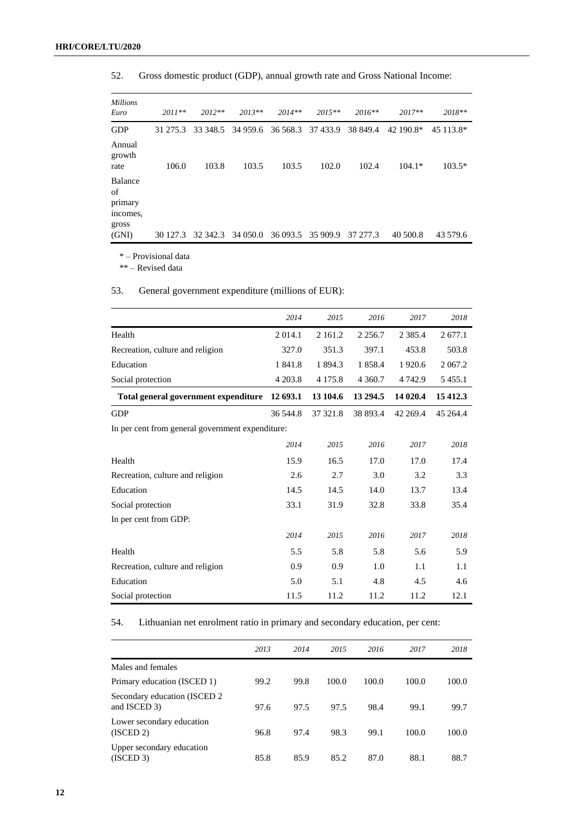| <b>Millions</b><br>Euro                       | $2011**$ | $2012**$ | $2013**$ | $2014**$ | $2015**$ | $2016**$ | $2017**$  | $2018**$  |
|-----------------------------------------------|----------|----------|----------|----------|----------|----------|-----------|-----------|
| <b>GDP</b>                                    | 31 275.3 | 33 348.5 | 34 959.6 | 36.568.3 | 37 433.9 | 38 849.4 | 42 190.8* | 45 113.8* |
| Annual<br>growth<br>rate                      | 106.0    | 103.8    | 103.5    | 103.5    | 102.0    | 102.4    | $104.1*$  | $103.5*$  |
| Balance<br>of<br>primary<br>incomes,<br>gross |          |          |          |          |          |          |           |           |
| (GNI)                                         | 30 127.3 | 32 342.3 | 34 050.0 | 36 093.5 | 35 909.9 | 37 277.3 | 40 500.8  | 43 579.6  |

52. Gross domestic product (GDP), annual growth rate and Gross National Income:

\* – Provisional data

\*\* – Revised data

### 53. General government expenditure (millions of EUR):

|                                                  | 2014       | 2015       | 2016       | 2017        | 2018      |
|--------------------------------------------------|------------|------------|------------|-------------|-----------|
| Health                                           | 2 0 1 4 .1 | 2 1 6 1 .2 | 2 2 5 6 .7 | 2 3 8 5 .4  | 2677.1    |
| Recreation, culture and religion                 | 327.0      | 351.3      | 397.1      | 453.8       | 503.8     |
| Education                                        | 1 841.8    | 1 894.3    | 1 858.4    | 1920.6      | 2 0 6 7.2 |
| Social protection                                | 4 203.8    | 4 1 7 5 .8 | 4 3 6 0.7  | 4 7 4 2 . 9 | 5455.1    |
| Total general government expenditure             | 12 693.1   | 13 104.6   | 13 294.5   | 14 020.4    | 15412.3   |
| <b>GDP</b>                                       | 36 544.8   | 37 321.8   | 38 893.4   | 42 269.4    | 45 264.4  |
| In per cent from general government expenditure: |            |            |            |             |           |
|                                                  | 2014       | 2015       | 2016       | 2017        | 2018      |
| Health                                           | 15.9       | 16.5       | 17.0       | 17.0        | 17.4      |
| Recreation, culture and religion                 | 2.6        | 2.7        | 3.0        | 3.2         | 3.3       |
| Education                                        | 14.5       | 14.5       | 14.0       | 13.7        | 13.4      |
| Social protection                                | 33.1       | 31.9       | 32.8       | 33.8        | 35.4      |
| In per cent from GDP:                            |            |            |            |             |           |
|                                                  | 2014       | 2015       | 2016       | 2017        | 2018      |
| Health                                           | 5.5        | 5.8        | 5.8        | 5.6         | 5.9       |
| Recreation, culture and religion                 | 0.9        | 0.9        | 1.0        | 1.1         | 1.1       |
| Education                                        | 5.0        | 5.1        | 4.8        | 4.5         | 4.6       |
| Social protection                                | 11.5       | 11.2       | 11.2       | 11.2        | 12.1      |

54. Lithuanian net enrolment ratio in primary and secondary education, per cent:

|                                               | 2013 | 2014 | 2015  | 2016  | 2017  | 2018  |
|-----------------------------------------------|------|------|-------|-------|-------|-------|
| Males and females                             |      |      |       |       |       |       |
| Primary education (ISCED 1)                   | 99.2 | 99.8 | 100.0 | 100.0 | 100.0 | 100.0 |
| Secondary education (ISCED 2)<br>and ISCED 3) | 97.6 | 97.5 | 97.5  | 98.4  | 99.1  | 99.7  |
| Lower secondary education<br>(ISCED 2)        | 96.8 | 97.4 | 98.3  | 99.1  | 100.0 | 100.0 |
| Upper secondary education<br>(ISCED 3)        | 85.8 | 85.9 | 85.2  | 87.0  | 88.1  | 88.7  |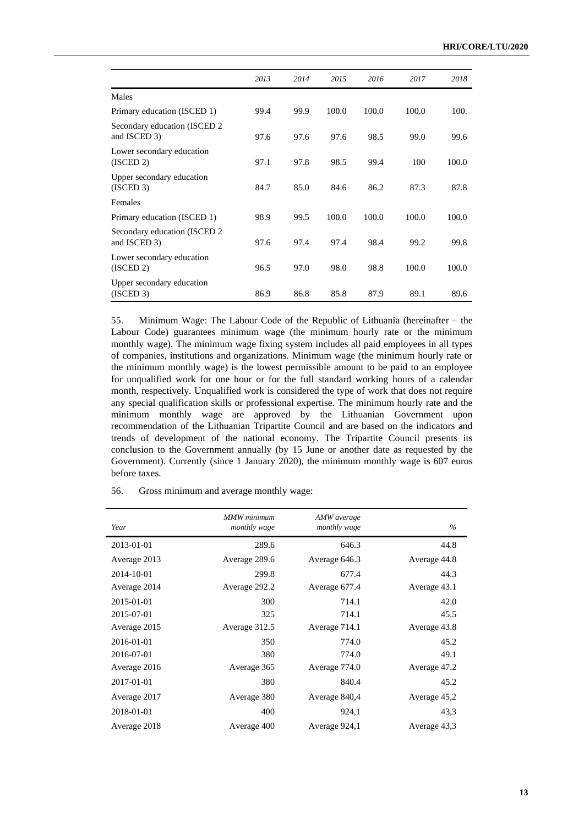|                                               | 2013 | 2014 | 2015  | 2016  | 2017  | 2018  |
|-----------------------------------------------|------|------|-------|-------|-------|-------|
| Males                                         |      |      |       |       |       |       |
| Primary education (ISCED 1)                   | 99.4 | 99.9 | 100.0 | 100.0 | 100.0 | 100.  |
| Secondary education (ISCED 2)<br>and ISCED 3) | 97.6 | 97.6 | 97.6  | 98.5  | 99.0  | 99.6  |
| Lower secondary education<br>(ISCED 2)        | 97.1 | 97.8 | 98.5  | 99.4  | 100   | 100.0 |
| Upper secondary education<br>(ISCED 3)        | 84.7 | 85.0 | 84.6  | 86.2  | 87.3  | 87.8  |
| Females                                       |      |      |       |       |       |       |
| Primary education (ISCED 1)                   | 98.9 | 99.5 | 100.0 | 100.0 | 100.0 | 100.0 |
| Secondary education (ISCED 2<br>and ISCED 3)  | 97.6 | 97.4 | 97.4  | 98.4  | 99.2  | 99.8  |
| Lower secondary education<br>(ISCED 2)        | 96.5 | 97.0 | 98.0  | 98.8  | 100.0 | 100.0 |
| Upper secondary education<br>(ISCED 3)        | 86.9 | 86.8 | 85.8  | 87.9  | 89.1  | 89.6  |

55. Minimum Wage: The Labour Code of the Republic of Lithuania (hereinafter – the Labour Code) guarantees minimum wage (the minimum hourly rate or the minimum monthly wage). The minimum wage fixing system includes all paid employees in all types of companies, institutions and organizations. Minimum wage (the minimum hourly rate or the minimum monthly wage) is the lowest permissible amount to be paid to an employee for unqualified work for one hour or for the full standard working hours of a calendar month, respectively. Unqualified work is considered the type of work that does not require any special qualification skills or professional expertise. The minimum hourly rate and the minimum monthly wage are approved by the Lithuanian Government upon recommendation of the Lithuanian Tripartite Council and are based on the indicators and trends of development of the national economy. The Tripartite Council presents its conclusion to the Government annually (by 15 June or another date as requested by the Government). Currently (since 1 January 2020), the minimum monthly wage is 607 euros before taxes.

56. Gross minimum and average monthly wage:

| Year         | <b>MMW</b> minimum<br>monthly wage | AMW average<br>monthly wage | $\%$         |
|--------------|------------------------------------|-----------------------------|--------------|
| 2013-01-01   | 289.6                              | 646.3                       | 44.8         |
| Average 2013 | Average 289.6                      | Average 646.3               | Average 44.8 |
| 2014-10-01   | 299.8                              | 677.4                       | 44.3         |
| Average 2014 | Average 292.2                      | Average 677.4               | Average 43.1 |
| 2015-01-01   | 300                                | 714.1                       | 42.0         |
| 2015-07-01   | 325                                | 714.1                       | 45.5         |
| Average 2015 | Average 312.5                      | Average 714.1               | Average 43.8 |
| 2016-01-01   | 350                                | 774.0                       | 45.2         |
| 2016-07-01   | 380                                | 774.0                       | 49.1         |
| Average 2016 | Average 365                        | Average 774.0               | Average 47.2 |
| 2017-01-01   | 380                                | 840.4                       | 45.2         |
| Average 2017 | Average 380                        | Average 840,4               | Average 45,2 |
| 2018-01-01   | 400                                | 924,1                       | 43,3         |
| Average 2018 | Average 400                        | Average 924,1               | Average 43,3 |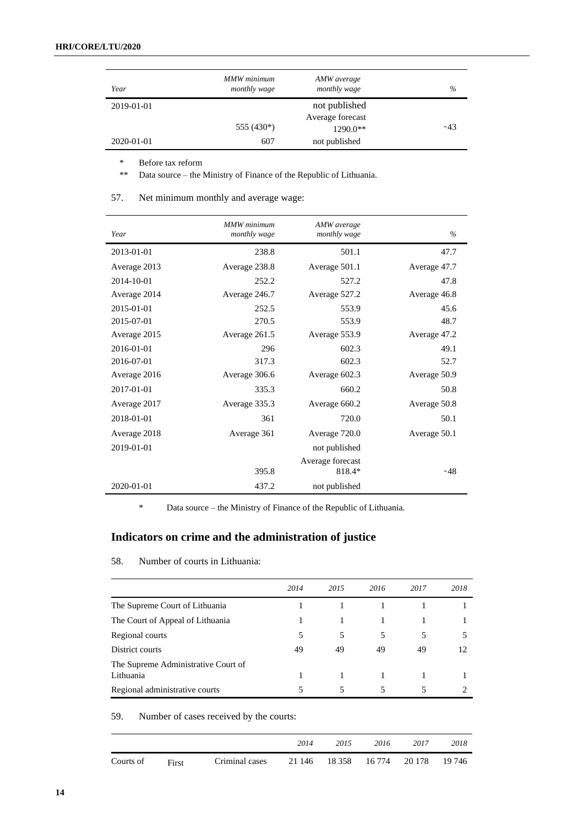| Year       | MMW minimum<br>monthly wage | AMW average<br>monthly wage  | $\%$  |
|------------|-----------------------------|------------------------------|-------|
| 2019-01-01 |                             | not published                |       |
|            | 555 (430*)                  | Average forecast<br>1290.0** | ~1.43 |
| 2020-01-01 | 607                         | not published                |       |

\* Before tax reform

\*\* Data source – the Ministry of Finance of the Republic of Lithuania.

| Year         | MMW minimum<br>monthly wage | AMW average<br>monthly wage | $\frac{0}{0}$ |
|--------------|-----------------------------|-----------------------------|---------------|
| 2013-01-01   | 238.8                       | 501.1                       | 47.7          |
| Average 2013 | Average 238.8               | Average 501.1               | Average 47.7  |
| 2014-10-01   | 252.2                       | 527.2                       | 47.8          |
| Average 2014 | Average 246.7               | Average 527.2               | Average 46.8  |
| 2015-01-01   | 252.5                       | 553.9                       | 45.6          |
| 2015-07-01   | 270.5                       | 553.9                       | 48.7          |
| Average 2015 | Average 261.5               | Average 553.9               | Average 47.2  |
| 2016-01-01   | 296                         | 602.3                       | 49.1          |
| 2016-07-01   | 317.3                       | 602.3                       | 52.7          |
| Average 2016 | Average 306.6               | Average 602.3               | Average 50.9  |
| 2017-01-01   | 335.3                       | 660.2                       | 50.8          |
| Average 2017 | Average 335.3               | Average 660.2               | Average 50.8  |
| 2018-01-01   | 361                         | 720.0                       | 50.1          |
| Average 2018 | Average 361                 | Average 720.0               | Average 50.1  |
| 2019-01-01   |                             | not published               |               |
|              | 395.8                       | Average forecast<br>818.4*  | ~148          |
|              |                             |                             |               |
| 2020-01-01   | 437.2                       | not published               |               |

### 57. Net minimum monthly and average wage:

\* Data source – the Ministry of Finance of the Republic of Lithuania.

## **Indicators on crime and the administration of justice**

| 58. | Number of courts in Lithuania: |  |  |  |
|-----|--------------------------------|--|--|--|
|     |                                |  |  |  |

|                                                  | 2014 | 2015 | 2016 | 2017 | 2018 |
|--------------------------------------------------|------|------|------|------|------|
| The Supreme Court of Lithuania                   |      |      |      |      |      |
| The Court of Appeal of Lithuania                 |      |      |      |      |      |
| Regional courts                                  | 5    | 5    | 5    |      |      |
| District courts                                  | 49   | 49   | 49   | 49   | 12   |
| The Supreme Administrative Court of<br>Lithuania |      |      |      |      |      |
| Regional administrative courts                   |      |      |      |      |      |

59. Number of cases received by the courts:

|           |       |                | 2014   | 2015   | 2016   | 2017   | 2018   |
|-----------|-------|----------------|--------|--------|--------|--------|--------|
| Courts of | First | Criminal cases | 21 146 | 18 358 | 16 774 | 20 178 | 19 746 |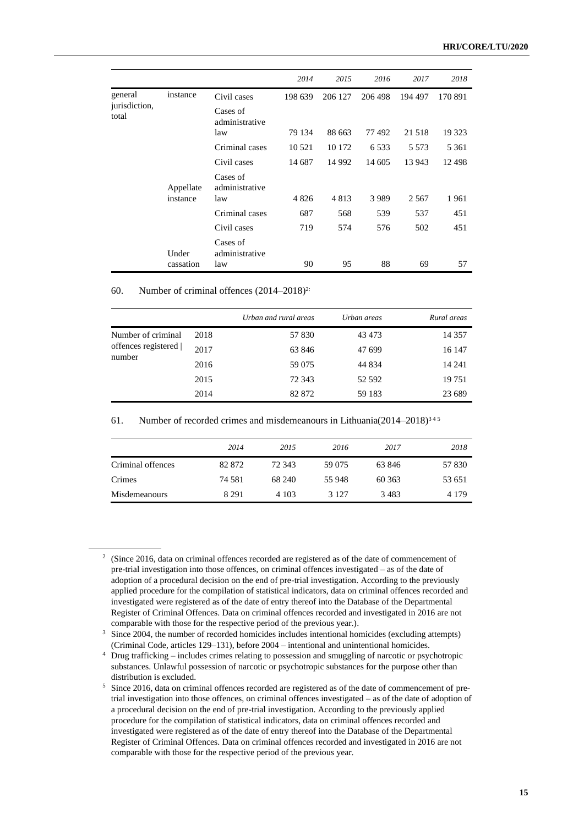|                        |           |                            | 2014    | 2015    | 2016    | 2017    | 2018     |
|------------------------|-----------|----------------------------|---------|---------|---------|---------|----------|
| general                | instance  | Civil cases                | 198 639 | 206 127 | 206 498 | 194 497 | 170 891  |
| jurisdiction,<br>total |           | Cases of<br>administrative |         |         |         |         |          |
|                        |           | law                        | 79 134  | 88 663  | 77492   | 21 518  | 19 3 23  |
|                        |           | Criminal cases             | 10 5 21 | 10 172  | 6 5 3 3 | 5 5 7 3 | 5 3 6 1  |
|                        |           | Civil cases                | 14 687  | 14 9 92 | 14 605  | 13 943  | 12 4 9 8 |
|                        | Appellate | Cases of<br>administrative |         |         |         |         |          |
|                        | instance  | law                        | 4826    | 4813    | 3989    | 2 5 6 7 | 1961     |
|                        |           | Criminal cases             | 687     | 568     | 539     | 537     | 451      |
|                        |           | Civil cases                | 719     | 574     | 576     | 502     | 451      |
|                        | Under     | Cases of<br>administrative |         |         |         |         |          |
|                        | cassation | law                        | 90      | 95      | 88      | 69      | 57       |

#### 60. Number of criminal offences  $(2014-2018)^{2}$ :

|                                                     |      | Urban and rural areas | Urban areas | Rural areas |
|-----------------------------------------------------|------|-----------------------|-------------|-------------|
| Number of criminal<br>offences registered<br>number | 2018 | 57 830                | 43 473      | 14 3 5 7    |
|                                                     | 2017 | 63 846                | 47 699      | 16 147      |
|                                                     | 2016 | 59 0 75               | 44 834      | 14 24 1     |
|                                                     | 2015 | 72 343                | 52 592      | 19 751      |
|                                                     | 2014 | 82 872                | 59 183      | 23 689      |

61. Number of recorded crimes and misdemeanours in Lithuania( $2014-2018$ )<sup>345</sup>

|                   | 2014    | 2015    | 2016    | 2017   | 2018    |
|-------------------|---------|---------|---------|--------|---------|
| Criminal offences | 82 872  | 72.343  | 59 075  | 63 846 | 57 830  |
| Crimes            | 74 581  | 68 240  | 55 948  | 60 363 | 53 651  |
| Misdemeanours     | 8 2 9 1 | 4 1 0 3 | 3 1 2 7 | 3483   | 4 1 7 9 |

<sup>&</sup>lt;sup>2</sup> (Since 2016, data on criminal offences recorded are registered as of the date of commencement of pre-trial investigation into those offences, on criminal offences investigated – as of the date of adoption of a procedural decision on the end of pre-trial investigation. According to the previously applied procedure for the compilation of statistical indicators, data on criminal offences recorded and investigated were registered as of the date of entry thereof into the Database of the Departmental Register of Criminal Offences. Data on criminal offences recorded and investigated in 2016 are not comparable with those for the respective period of the previous year.).

<sup>&</sup>lt;sup>3</sup> Since 2004, the number of recorded homicides includes intentional homicides (excluding attempts) (Criminal Code, articles 129–131), before 2004 – intentional and unintentional homicides.

<sup>4</sup> Drug trafficking – includes crimes relating to possession and smuggling of narcotic or psychotropic substances. Unlawful possession of narcotic or psychotropic substances for the purpose other than distribution is excluded.

<sup>5</sup> Since 2016, data on criminal offences recorded are registered as of the date of commencement of pretrial investigation into those offences, on criminal offences investigated – as of the date of adoption of a procedural decision on the end of pre-trial investigation. According to the previously applied procedure for the compilation of statistical indicators, data on criminal offences recorded and investigated were registered as of the date of entry thereof into the Database of the Departmental Register of Criminal Offences. Data on criminal offences recorded and investigated in 2016 are not comparable with those for the respective period of the previous year.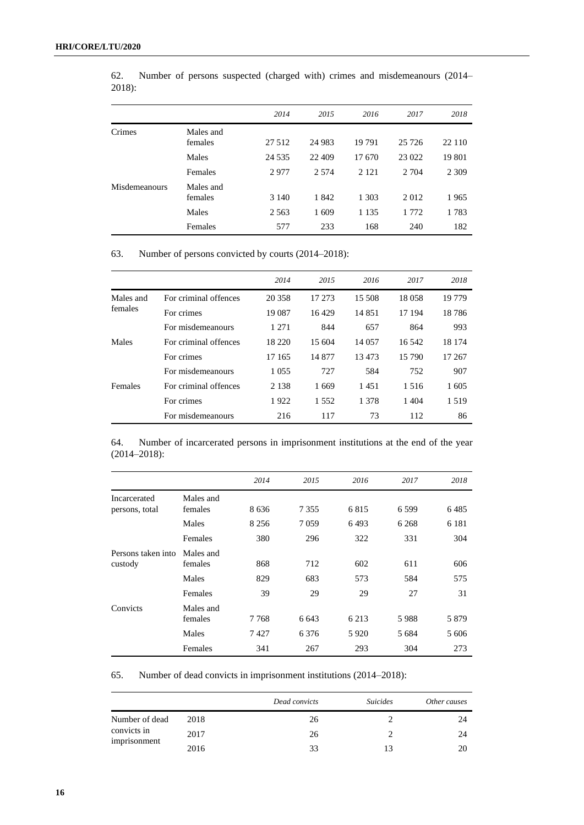|               |                      | 2014    | 2015    | 2016    | 2017    | 2018    |
|---------------|----------------------|---------|---------|---------|---------|---------|
| Crimes        | Males and<br>females | 27 5 12 | 24 983  | 19791   | 25 7 26 | 22 110  |
|               | Males                | 24 5 35 | 22 409  | 17670   | 23 022  | 19 801  |
|               | Females              | 2977    | 2 5 7 4 | 2 1 2 1 | 2 7 0 4 | 2 3 0 9 |
| Misdemeanours | Males and<br>females | 3 140   | 1842    | 1 303   | 2012    | 1965    |
|               | Males                | 2 5 6 3 | 1609    | 1 1 3 5 | 1 772   | 1783    |
|               | Females              | 577     | 233     | 168     | 240     | 182     |

62. Number of persons suspected (charged with) crimes and misdemeanours (2014– 2018):

63. Number of persons convicted by courts (2014–2018):

|           |                       | 2014    | 2015   | 2016    | 2017    | 2018    |
|-----------|-----------------------|---------|--------|---------|---------|---------|
| Males and | For criminal offences | 20 358  | 17 273 | 15 508  | 18058   | 19 7 79 |
| females   | For crimes            | 19 087  | 16429  | 14 8 51 | 17 194  | 18786   |
|           | For misdemeanours     | 1 2 7 1 | 844    | 657     | 864     | 993     |
| Males     | For criminal offences | 18 220  | 15 604 | 14 0 57 | 16.542  | 18 174  |
|           | For crimes            | 17 165  | 14 877 | 13473   | 15 790  | 17 267  |
|           | For misdemeanours     | 1 0 5 5 | 727    | 584     | 752     | 907     |
| Females   | For criminal offences | 2 1 3 8 | 1669   | 1451    | 1.516   | 1 605   |
|           | For crimes            | 1922    | 1.552  | 1 378   | 1 4 0 4 | 1.519   |
|           | For misdemeanours     | 216     | 117    | 73      | 112     | 86      |

64. Number of incarcerated persons in imprisonment institutions at the end of the year (2014–2018):

|                    |           | 2014    | 2015    | 2016    | 2017    | 2018    |
|--------------------|-----------|---------|---------|---------|---------|---------|
| Incarcerated       | Males and |         |         |         |         |         |
| persons, total     | females   | 8636    | 7 3 5 5 | 6815    | 6 5 9 9 | 6485    |
|                    | Males     | 8 2 5 6 | 7 0 5 9 | 6493    | 6 2 6 8 | 6 1 8 1 |
|                    | Females   | 380     | 296     | 322     | 331     | 304     |
| Persons taken into | Males and |         |         |         |         |         |
| custody            | females   | 868     | 712     | 602     | 611     | 606     |
|                    | Males     | 829     | 683     | 573     | 584     | 575     |
|                    | Females   | 39      | 29      | 29      | 27      | 31      |
| Convicts           | Males and |         |         |         |         |         |
|                    | females   | 7 7 6 8 | 6 6 4 3 | 6 2 1 3 | 5988    | 5879    |
|                    | Males     | 7427    | 6376    | 5920    | 5 684   | 5 606   |
|                    | Females   | 341     | 267     | 293     | 304     | 273     |

65. Number of dead convicts in imprisonment institutions (2014–2018):

|                                               |      | Dead convicts | <i>Suicides</i> | Other causes |
|-----------------------------------------------|------|---------------|-----------------|--------------|
| Number of dead<br>convicts in<br>imprisonment | 2018 | 26            |                 | 24           |
|                                               | 2017 | 26            |                 | 24           |
|                                               | 2016 | 33            |                 |              |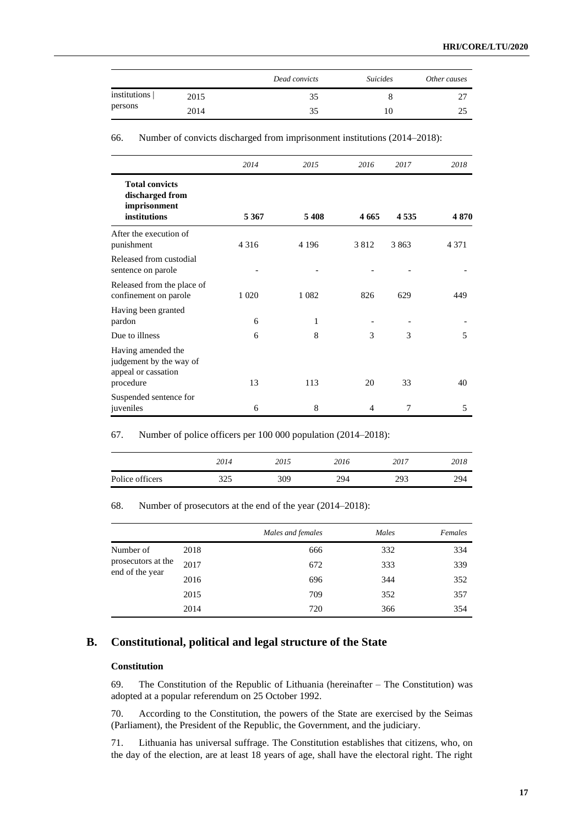|                           |      | Dead convicts | <i>Suicides</i> | Other causes |
|---------------------------|------|---------------|-----------------|--------------|
| institutions  <br>persons | 2015 | 35            |                 | ∼            |
|                           | 2014 | 35            | IO              |              |

66. Number of convicts discharged from imprisonment institutions (2014–2018):

|                                                                                   | 2014    | 2015    | 2016    | 2017    | 2018    |
|-----------------------------------------------------------------------------------|---------|---------|---------|---------|---------|
| <b>Total convicts</b><br>discharged from<br>imprisonment<br>institutions          | 5 3 6 7 | 5408    | 4 6 6 5 | 4 5 3 5 | 4870    |
| After the execution of<br>punishment                                              | 4 3 1 6 | 4 1 9 6 | 3812    | 3 8 6 3 | 4 3 7 1 |
| Released from custodial<br>sentence on parole                                     |         |         |         |         |         |
| Released from the place of<br>confinement on parole                               | 1 0 2 0 | 1 0 8 2 | 826     | 629     | 449     |
| Having been granted<br>pardon                                                     | 6       | 1       |         |         |         |
| Due to illness                                                                    | 6       | 8       | 3       | 3       | 5       |
| Having amended the<br>judgement by the way of<br>appeal or cassation<br>procedure | 13      | 113     | 20      | 33      | 40      |
| Suspended sentence for<br>juveniles                                               | 6       | 8       | 4       | 7       | 5       |

67. Number of police officers per 100 000 population (2014–2018):

|                 | 2014       | 2015 | 2016 | 2017 | 2018 |
|-----------------|------------|------|------|------|------|
| Police officers | 375<br>ل∠ل | 309  | 294  | 293  | 294  |

68. Number of prosecutors at the end of the year (2014–2018):

|                                                    |      | Males and females | Males | Females |
|----------------------------------------------------|------|-------------------|-------|---------|
| Number of<br>prosecutors at the<br>end of the year | 2018 | 666               | 332   | 334     |
|                                                    | 2017 | 672               | 333   | 339     |
|                                                    | 2016 | 696               | 344   | 352     |
|                                                    | 2015 | 709               | 352   | 357     |
|                                                    | 2014 | 720               | 366   | 354     |

## **B. Constitutional, political and legal structure of the State**

#### **Constitution**

69. The Constitution of the Republic of Lithuania (hereinafter – The Constitution) was adopted at a popular referendum on 25 October 1992.

70. According to the Constitution, the powers of the State are exercised by the Seimas (Parliament), the President of the Republic, the Government, and the judiciary.

71. Lithuania has universal suffrage. The Constitution establishes that citizens, who, on the day of the election, are at least 18 years of age, shall have the electoral right. The right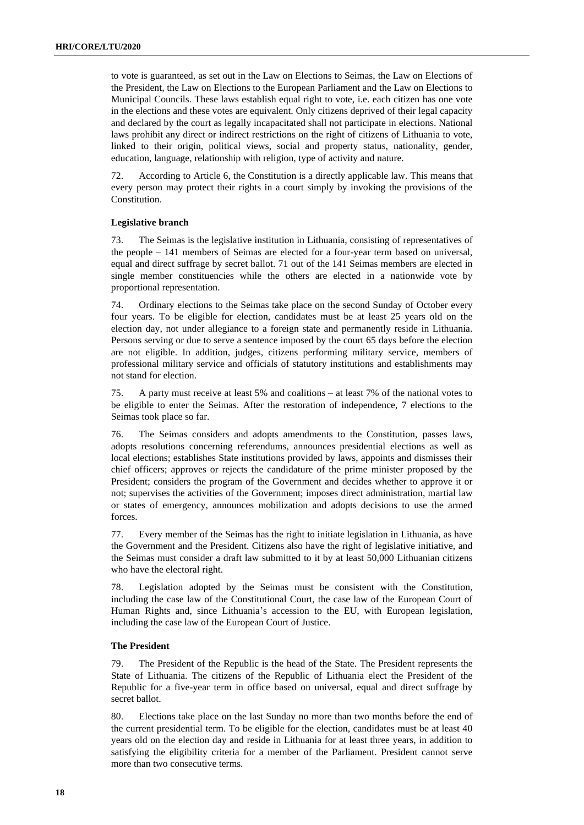to vote is guaranteed, as set out in the Law on Elections to Seimas, the Law on Elections of the President, the Law on Elections to the European Parliament and the Law on Elections to Municipal Councils. These laws establish equal right to vote, i.e. each citizen has one vote in the elections and these votes are equivalent. Only citizens deprived of their legal capacity and declared by the court as legally incapacitated shall not participate in elections. National laws prohibit any direct or indirect restrictions on the right of citizens of Lithuania to vote, linked to their origin, political views, social and property status, nationality, gender, education, language, relationship with religion, type of activity and nature.

72. According to Article 6, the Constitution is a directly applicable law. This means that every person may protect their rights in a court simply by invoking the provisions of the Constitution.

#### **Legislative branch**

73. The Seimas is the legislative institution in Lithuania, consisting of representatives of the people – 141 members of Seimas are elected for a four-year term based on universal, equal and direct suffrage by secret ballot. 71 out of the 141 Seimas members are elected in single member constituencies while the others are elected in a nationwide vote by proportional representation.

74. Ordinary elections to the Seimas take place on the second Sunday of October every four years. To be eligible for election, candidates must be at least 25 years old on the election day, not under allegiance to a foreign state and permanently reside in Lithuania. Persons serving or due to serve a sentence imposed by the court 65 days before the election are not eligible. In addition, judges, citizens performing military service, members of professional military service and officials of statutory institutions and establishments may not stand for election.

75. A party must receive at least 5% and coalitions – at least 7% of the national votes to be eligible to enter the Seimas. After the restoration of independence, 7 elections to the Seimas took place so far.

76. The Seimas considers and adopts amendments to the Constitution, passes laws, adopts resolutions concerning referendums, announces presidential elections as well as local elections; establishes State institutions provided by laws, appoints and dismisses their chief officers; approves or rejects the candidature of the prime minister proposed by the President; considers the program of the Government and decides whether to approve it or not; supervises the activities of the Government; imposes direct administration, martial law or states of emergency, announces mobilization and adopts decisions to use the armed forces.

77. Every member of the Seimas has the right to initiate legislation in Lithuania, as have the Government and the President. Citizens also have the right of legislative initiative, and the Seimas must consider a draft law submitted to it by at least 50,000 Lithuanian citizens who have the electoral right.

78. Legislation adopted by the Seimas must be consistent with the Constitution, including the case law of the Constitutional Court, the case law of the European Court of Human Rights and, since Lithuania's accession to the EU, with European legislation, including the case law of the European Court of Justice.

#### **The President**

79. The President of the Republic is the head of the State. The President represents the State of Lithuania. The citizens of the Republic of Lithuania elect the President of the Republic for a five-year term in office based on universal, equal and direct suffrage by secret ballot.

80. Elections take place on the last Sunday no more than two months before the end of the current presidential term. To be eligible for the election, candidates must be at least 40 years old on the election day and reside in Lithuania for at least three years, in addition to satisfying the eligibility criteria for a member of the Parliament. President cannot serve more than two consecutive terms.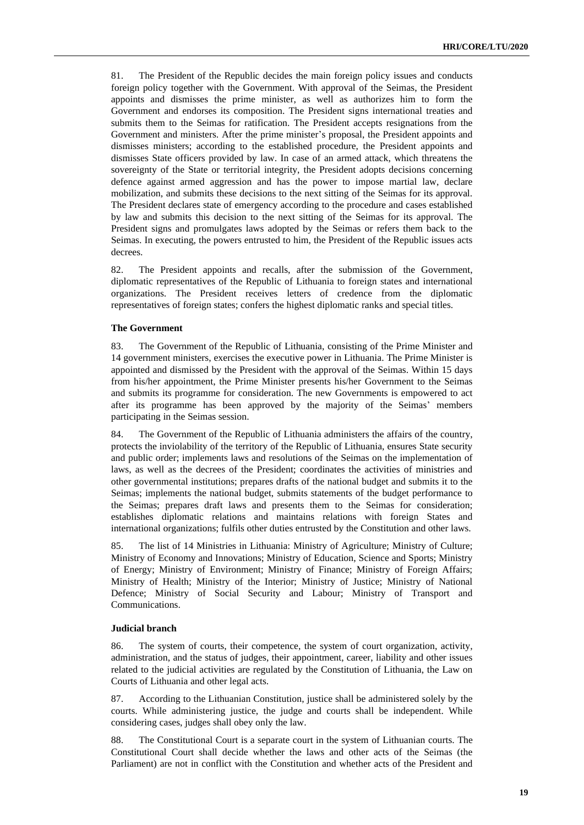81. The President of the Republic decides the main foreign policy issues and conducts foreign policy together with the Government. With approval of the Seimas, the President appoints and dismisses the prime minister, as well as authorizes him to form the Government and endorses its composition. The President signs international treaties and submits them to the Seimas for ratification. The President accepts resignations from the Government and ministers. After the prime minister's proposal, the President appoints and dismisses ministers; according to the established procedure, the President appoints and dismisses State officers provided by law. In case of an armed attack, which threatens the sovereignty of the State or territorial integrity, the President adopts decisions concerning defence against armed aggression and has the power to impose martial law, declare mobilization, and submits these decisions to the next sitting of the Seimas for its approval. The President declares state of emergency according to the procedure and cases established by law and submits this decision to the next sitting of the Seimas for its approval. The President signs and promulgates laws adopted by the Seimas or refers them back to the Seimas. In executing, the powers entrusted to him, the President of the Republic issues acts decrees.

82. The President appoints and recalls, after the submission of the Government, diplomatic representatives of the Republic of Lithuania to foreign states and international organizations. The President receives letters of credence from the diplomatic representatives of foreign states; confers the highest diplomatic ranks and special titles.

#### **The Government**

83. The Government of the Republic of Lithuania, consisting of the Prime Minister and 14 government ministers, exercises the executive power in Lithuania. The Prime Minister is appointed and dismissed by the President with the approval of the Seimas. Within 15 days from his/her appointment, the Prime Minister presents his/her Government to the Seimas and submits its programme for consideration. The new Governments is empowered to act after its programme has been approved by the majority of the Seimas' members participating in the Seimas session.

84. The Government of the Republic of Lithuania administers the affairs of the country, protects the inviolability of the territory of the Republic of Lithuania, ensures State security and public order; implements laws and resolutions of the Seimas on the implementation of laws, as well as the decrees of the President; coordinates the activities of ministries and other governmental institutions; prepares drafts of the national budget and submits it to the Seimas; implements the national budget, submits statements of the budget performance to the Seimas; prepares draft laws and presents them to the Seimas for consideration; establishes diplomatic relations and maintains relations with foreign States and international organizations; fulfils other duties entrusted by the Constitution and other laws.

85. The list of 14 Ministries in Lithuania: Ministry of Agriculture; Ministry of Culture; Ministry of Economy and Innovations; Ministry of Education, Science and Sports; Ministry of Energy; Ministry of Environment; Ministry of Finance; Ministry of Foreign Affairs; Ministry of Health; Ministry of the Interior; Ministry of Justice; Ministry of National Defence; Ministry of Social Security and Labour; Ministry of Transport and Communications.

#### **Judicial branch**

86. The system of courts, their competence, the system of court organization, activity, administration, and the status of judges, their appointment, career, liability and other issues related to the judicial activities are regulated by the Constitution of Lithuania, the Law on Courts of Lithuania and other legal acts.

87. According to the Lithuanian Constitution, justice shall be administered solely by the courts. While administering justice, the judge and courts shall be independent. While considering cases, judges shall obey only the law.

88. The Constitutional Court is a separate court in the system of Lithuanian courts. The Constitutional Court shall decide whether the laws and other acts of the Seimas (the Parliament) are not in conflict with the Constitution and whether acts of the President and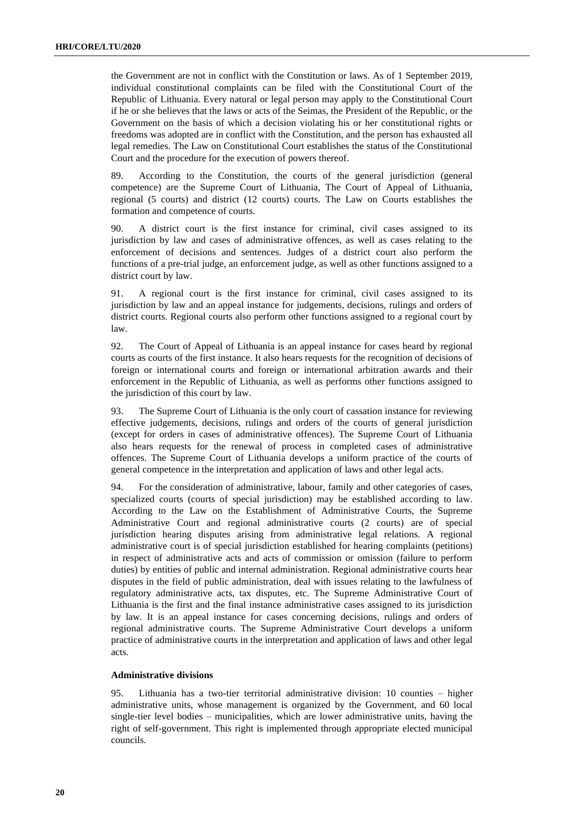the Government are not in conflict with the Constitution or laws. As of 1 September 2019, individual constitutional complaints can be filed with the Constitutional Court of the Republic of Lithuania. Every natural or legal person may apply to the Constitutional Court if he or she believes that the laws or acts of the Seimas, the President of the Republic, or the Government on the basis of which a decision violating his or her constitutional rights or freedoms was adopted are in conflict with the Constitution, and the person has exhausted all legal remedies. The Law on Constitutional Court establishes the status of the Constitutional Court and the procedure for the execution of powers thereof.

89. According to the Constitution, the courts of the general jurisdiction (general competence) are the Supreme Court of Lithuania, The Court of Appeal of Lithuania, regional (5 courts) and district (12 courts) courts. The Law on Courts establishes the formation and competence of courts.

90. A district court is the first instance for criminal, civil cases assigned to its jurisdiction by law and cases of administrative offences, as well as cases relating to the enforcement of decisions and sentences. Judges of a district court also perform the functions of a pre-trial judge, an enforcement judge, as well as other functions assigned to a district court by law.

91. A regional court is the first instance for criminal, civil cases assigned to its jurisdiction by law and an appeal instance for judgements, decisions, rulings and orders of district courts. Regional courts also perform other functions assigned to a regional court by law.

92. The Court of Appeal of Lithuania is an appeal instance for cases heard by regional courts as courts of the first instance. It also hears requests for the recognition of decisions of foreign or international courts and foreign or international arbitration awards and their enforcement in the Republic of Lithuania, as well as performs other functions assigned to the jurisdiction of this court by law.

93. The Supreme Court of Lithuania is the only court of cassation instance for reviewing effective judgements, decisions, rulings and orders of the courts of general jurisdiction (except for orders in cases of administrative offences). The Supreme Court of Lithuania also hears requests for the renewal of process in completed cases of administrative offences. The Supreme Court of Lithuania develops a uniform practice of the courts of general competence in the interpretation and application of laws and other legal acts.

94. For the consideration of administrative, labour, family and other categories of cases, specialized courts (courts of special jurisdiction) may be established according to law. According to the Law on the Establishment of Administrative Courts, the Supreme Administrative Court and regional administrative courts (2 courts) are of special jurisdiction hearing disputes arising from administrative legal relations. A regional administrative court is of special jurisdiction established for hearing complaints (petitions) in respect of administrative acts and acts of commission or omission (failure to perform duties) by entities of public and internal administration. Regional administrative courts hear disputes in the field of public administration, deal with issues relating to the lawfulness of regulatory administrative acts, tax disputes, etc. The Supreme Administrative Court of Lithuania is the first and the final instance administrative cases assigned to its jurisdiction by law. It is an appeal instance for cases concerning decisions, rulings and orders of regional administrative courts. The Supreme Administrative Court develops a uniform practice of administrative courts in the interpretation and application of laws and other legal acts.

#### **Administrative divisions**

95. Lithuania has a two-tier territorial administrative division: 10 counties – higher administrative units, whose management is organized by the Government, and 60 local single-tier level bodies – municipalities, which are lower administrative units, having the right of self-government. This right is implemented through appropriate elected municipal councils.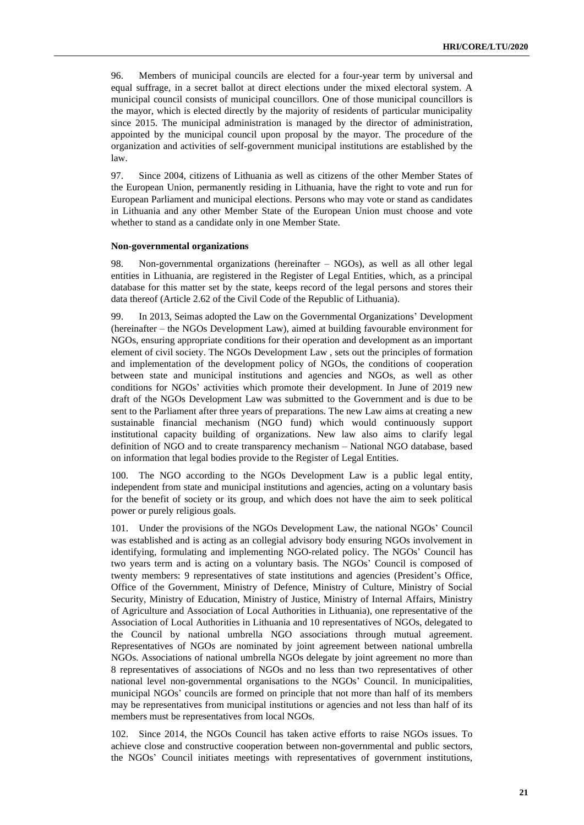96. Members of municipal councils are elected for a four-year term by universal and equal suffrage, in a secret ballot at direct elections under the mixed electoral system. A municipal council consists of municipal councillors. One of those municipal councillors is the mayor, which is elected directly by the majority of residents of particular municipality since 2015. The municipal administration is managed by the director of administration, appointed by the municipal council upon proposal by the mayor. The procedure of the organization and activities of self-government municipal institutions are established by the law.

97. Since 2004, citizens of Lithuania as well as citizens of the other Member States of the European Union, permanently residing in Lithuania, have the right to vote and run for European Parliament and municipal elections. Persons who may vote or stand as candidates in Lithuania and any other Member State of the European Union must choose and vote whether to stand as a candidate only in one Member State.

#### **Non-governmental organizations**

98. Non-governmental organizations (hereinafter – NGOs), as well as all other legal entities in Lithuania, are registered in the Register of Legal Entities, which, as a principal database for this matter set by the state, keeps record of the legal persons and stores their data thereof (Article 2.62 of the Civil Code of the Republic of Lithuania).

99. In 2013, Seimas adopted the Law on the Governmental Organizations' Development (hereinafter – the NGOs Development Law), aimed at building favourable environment for NGOs, ensuring appropriate conditions for their operation and development as an important element of civil society. The NGOs Development Law , sets out the principles of formation and implementation of the development policy of NGOs, the conditions of cooperation between state and municipal institutions and agencies and NGOs, as well as other conditions for NGOs' activities which promote their development. In June of 2019 new draft of the NGOs Development Law was submitted to the Government and is due to be sent to the Parliament after three years of preparations. The new Law aims at creating a new sustainable financial mechanism (NGO fund) which would continuously support institutional capacity building of organizations. New law also aims to clarify legal definition of NGO and to create transparency mechanism – National NGO database, based on information that legal bodies provide to the Register of Legal Entities.

100. The NGO according to the NGOs Development Law is a public legal entity, independent from state and municipal institutions and agencies, acting on a voluntary basis for the benefit of society or its group, and which does not have the aim to seek political power or purely religious goals.

101. Under the provisions of the NGOs Development Law, the national NGOs' Council was established and is acting as an collegial advisory body ensuring NGOs involvement in identifying, formulating and implementing NGO-related policy. The NGOs' Council has two years term and is acting on a voluntary basis. The NGOs' Council is composed of twenty members: 9 representatives of state institutions and agencies (President's Office, Office of the Government, Ministry of Defence, Ministry of Culture, Ministry of Social Security, Ministry of Education, Ministry of Justice, Ministry of Internal Affairs, Ministry of Agriculture and Association of Local Authorities in Lithuania), one representative of the Association of Local Authorities in Lithuania and 10 representatives of NGOs, delegated to the Council by national umbrella NGO associations through mutual agreement. Representatives of NGOs are nominated by joint agreement between national umbrella NGOs. Associations of national umbrella NGOs delegate by joint agreement no more than 8 representatives of associations of NGOs and no less than two representatives of other national level non-governmental organisations to the NGOs' Council. In municipalities, municipal NGOs' councils are formed on principle that not more than half of its members may be representatives from municipal institutions or agencies and not less than half of its members must be representatives from local NGOs.

102. Since 2014, the NGOs Council has taken active efforts to raise NGOs issues. To achieve close and constructive cooperation between non-governmental and public sectors, the NGOs' Council initiates meetings with representatives of government institutions,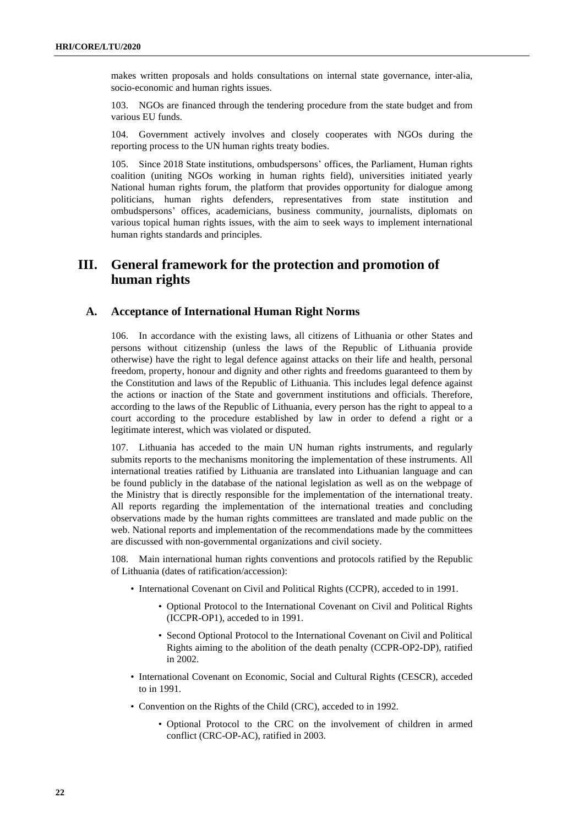makes written proposals and holds consultations on internal state governance, inter-alia, socio-economic and human rights issues.

103. NGOs are financed through the tendering procedure from the state budget and from various EU funds.

104. Government actively involves and closely cooperates with NGOs during the reporting process to the UN human rights treaty bodies.

105. Since 2018 State institutions, ombudspersons' offices, the Parliament, Human rights coalition (uniting NGOs working in human rights field), universities initiated yearly National human rights forum, the platform that provides opportunity for dialogue among politicians, human rights defenders, representatives from state institution and ombudspersons' offices, academicians, business community, journalists, diplomats on various topical human rights issues, with the aim to seek ways to implement international human rights standards and principles.

## **III. General framework for the protection and promotion of human rights**

### **A. Acceptance of International Human Right Norms**

106. In accordance with the existing laws, all citizens of Lithuania or other States and persons without citizenship (unless the laws of the Republic of Lithuania provide otherwise) have the right to legal defence against attacks on their life and health, personal freedom, property, honour and dignity and other rights and freedoms guaranteed to them by the Constitution and laws of the Republic of Lithuania. This includes legal defence against the actions or inaction of the State and government institutions and officials. Therefore, according to the laws of the Republic of Lithuania, every person has the right to appeal to a court according to the procedure established by law in order to defend a right or a legitimate interest, which was violated or disputed.

107. Lithuania has acceded to the main UN human rights instruments, and regularly submits reports to the mechanisms monitoring the implementation of these instruments. All international treaties ratified by Lithuania are translated into Lithuanian language and can be found publicly in the database of the national legislation as well as on the webpage of the Ministry that is directly responsible for the implementation of the international treaty. All reports regarding the implementation of the international treaties and concluding observations made by the human rights committees are translated and made public on the web. National reports and implementation of the recommendations made by the committees are discussed with non-governmental organizations and civil society.

108. Main international human rights conventions and protocols ratified by the Republic of Lithuania (dates of ratification/accession):

- International Covenant on Civil and Political Rights (CCPR), acceded to in 1991.
	- Optional Protocol to the International Covenant on Civil and Political Rights (ICCPR-OP1), acceded to in 1991.
	- Second Optional Protocol to the International Covenant on Civil and Political Rights aiming to the abolition of the death penalty (CCPR-OP2-DP), ratified in 2002.
- International Covenant on Economic, Social and Cultural Rights (CESCR), acceded to in 1991.
- Convention on the Rights of the Child (CRC), acceded to in 1992.
	- Optional Protocol to the CRC on the involvement of children in armed conflict (CRC-OP-AC), ratified in 2003.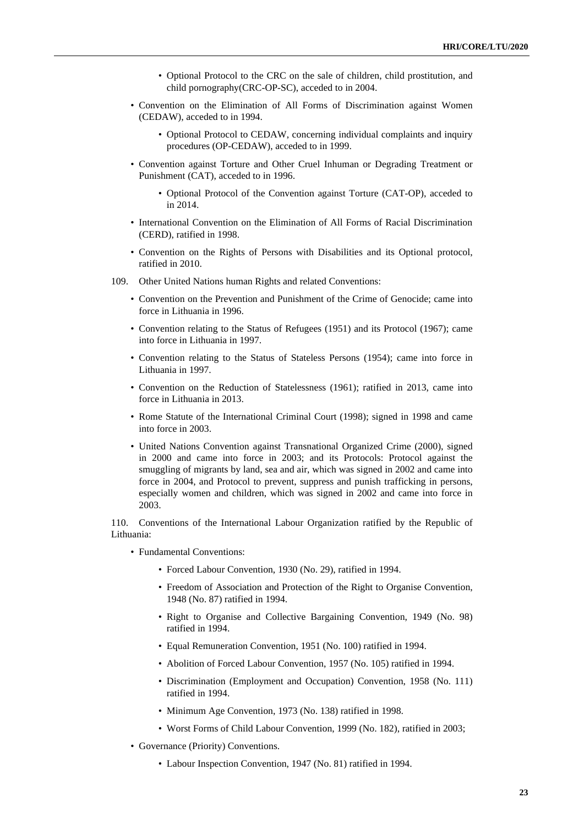- Optional Protocol to the CRC on the sale of children, child prostitution, and child pornography(CRC-OP-SC), acceded to in 2004.
- Convention on the Elimination of All Forms of Discrimination against Women (CEDAW), acceded to in 1994.
	- Optional Protocol to CEDAW, concerning individual complaints and inquiry procedures (OP-CEDAW), acceded to in 1999.
- Convention against Torture and Other Cruel Inhuman or Degrading Treatment or Punishment (CAT), acceded to in 1996.
	- Optional Protocol of the Convention against Torture (CAT-OP), acceded to in 2014.
- International Convention on the Elimination of All Forms of Racial Discrimination (CERD), ratified in 1998.
- Convention on the Rights of Persons with Disabilities and its Optional protocol, ratified in 2010.
- 109. Other United Nations human Rights and related Conventions:
	- Convention on the Prevention and Punishment of the Crime of Genocide; came into force in Lithuania in 1996.
	- Convention relating to the Status of Refugees (1951) and its Protocol (1967); came into force in Lithuania in 1997.
	- Convention relating to the Status of Stateless Persons (1954); came into force in Lithuania in 1997.
	- Convention on the Reduction of Statelessness (1961); ratified in 2013, came into force in Lithuania in 2013.
	- Rome Statute of the International Criminal Court (1998); signed in 1998 and came into force in 2003.
	- United Nations Convention against Transnational Organized Crime (2000), signed in 2000 and came into force in 2003; and its Protocols: Protocol against the smuggling of migrants by land, sea and air, which was signed in 2002 and came into force in 2004, and Protocol to prevent, suppress and punish trafficking in persons, especially women and children, which was signed in 2002 and came into force in 2003.

110. Conventions of the International Labour Organization ratified by the Republic of Lithuania:

- Fundamental Conventions:
	- Forced Labour Convention, 1930 (No. 29), ratified in 1994.
	- Freedom of Association and Protection of the Right to Organise Convention, 1948 (No. 87) ratified in 1994.
	- Right to Organise and Collective Bargaining Convention, 1949 (No. 98) ratified in 1994.
	- Equal Remuneration Convention, 1951 (No. 100) ratified in 1994.
	- Abolition of Forced Labour Convention, 1957 (No. 105) ratified in 1994.
	- Discrimination (Employment and Occupation) Convention, 1958 (No. 111) ratified in 1994.
	- Minimum Age Convention, 1973 (No. 138) ratified in 1998.
	- Worst Forms of Child Labour Convention, 1999 (No. 182), ratified in 2003;
- Governance (Priority) Conventions.
	- Labour Inspection Convention, 1947 (No. 81) ratified in 1994.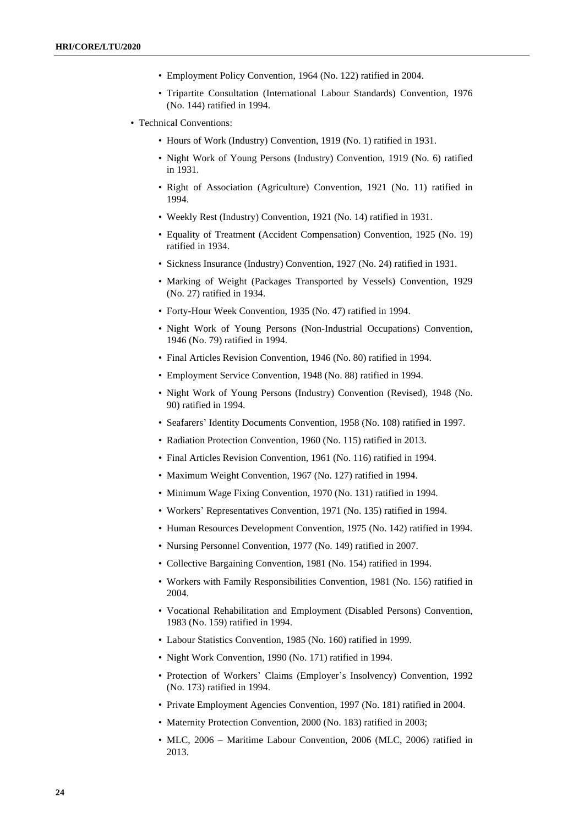- Employment Policy Convention, 1964 (No. 122) ratified in 2004.
- Tripartite Consultation (International Labour Standards) Convention, 1976 (No. 144) ratified in 1994.
- Technical Conventions:
	- Hours of Work (Industry) Convention, 1919 (No. 1) ratified in 1931.
	- Night Work of Young Persons (Industry) Convention, 1919 (No. 6) ratified in 1931.
	- Right of Association (Agriculture) Convention, 1921 (No. 11) ratified in 1994.
	- Weekly Rest (Industry) Convention, 1921 (No. 14) ratified in 1931.
	- Equality of Treatment (Accident Compensation) Convention, 1925 (No. 19) ratified in 1934.
	- Sickness Insurance (Industry) Convention, 1927 (No. 24) ratified in 1931.
	- Marking of Weight (Packages Transported by Vessels) Convention, 1929 (No. 27) ratified in 1934.
	- Forty-Hour Week Convention, 1935 (No. 47) ratified in 1994.
	- Night Work of Young Persons (Non-Industrial Occupations) Convention, 1946 (No. 79) ratified in 1994.
	- Final Articles Revision Convention, 1946 (No. 80) ratified in 1994.
	- Employment Service Convention, 1948 (No. 88) ratified in 1994.
	- Night Work of Young Persons (Industry) Convention (Revised), 1948 (No. 90) ratified in 1994.
	- Seafarers' Identity Documents Convention, 1958 (No. 108) ratified in 1997.
	- Radiation Protection Convention, 1960 (No. 115) ratified in 2013.
	- Final Articles Revision Convention, 1961 (No. 116) ratified in 1994.
	- Maximum Weight Convention, 1967 (No. 127) ratified in 1994.
	- Minimum Wage Fixing Convention, 1970 (No. 131) ratified in 1994.
	- Workers' Representatives Convention, 1971 (No. 135) ratified in 1994.
	- Human Resources Development Convention, 1975 (No. 142) ratified in 1994.
	- Nursing Personnel Convention, 1977 (No. 149) ratified in 2007.
	- Collective Bargaining Convention, 1981 (No. 154) ratified in 1994.
	- Workers with Family Responsibilities Convention, 1981 (No. 156) ratified in 2004.
	- Vocational Rehabilitation and Employment (Disabled Persons) Convention, 1983 (No. 159) ratified in 1994.
	- Labour Statistics Convention, 1985 (No. 160) ratified in 1999.
	- Night Work Convention, 1990 (No. 171) ratified in 1994.
	- Protection of Workers' Claims (Employer's Insolvency) Convention, 1992 (No. 173) ratified in 1994.
	- Private Employment Agencies Convention, 1997 (No. 181) ratified in 2004.
	- Maternity Protection Convention, 2000 (No. 183) ratified in 2003;
	- MLC, 2006 Maritime Labour Convention, 2006 (MLC, 2006) ratified in 2013.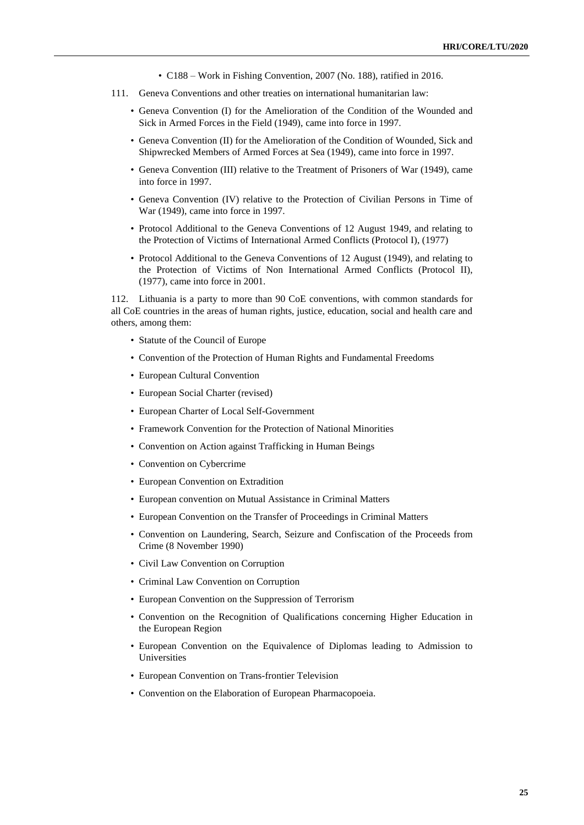- C188 Work in Fishing Convention, 2007 (No. 188), ratified in 2016.
- 111. Geneva Conventions and other treaties on international humanitarian law:
	- Geneva Convention (I) for the Amelioration of the Condition of the Wounded and Sick in Armed Forces in the Field (1949), came into force in 1997.
	- Geneva Convention (II) for the Amelioration of the Condition of Wounded, Sick and Shipwrecked Members of Armed Forces at Sea (1949), came into force in 1997.
	- Geneva Convention (III) relative to the Treatment of Prisoners of War (1949), came into force in 1997.
	- Geneva Convention (IV) relative to the Protection of Civilian Persons in Time of War (1949), came into force in 1997.
	- Protocol Additional to the Geneva Conventions of 12 August 1949, and relating to the Protection of Victims of International Armed Conflicts (Protocol I), (1977)
	- Protocol Additional to the Geneva Conventions of 12 August (1949), and relating to the Protection of Victims of Non International Armed Conflicts (Protocol II), (1977), came into force in 2001.

112. Lithuania is a party to more than 90 CoE [conventions,](http://conventions.coe.int/Treaty/Commun/ListeTraites.asp?PO=Lit&MA=999&SI=2&CM=3&CL=ENG) with common standards for all CoE countries in the areas of human rights, justice, education, social and health care and others, among them:

- Statute of the Council of Europe
- Convention of the Protection of Human Rights and Fundamental Freedoms
- European Cultural Convention
- European Social Charter (revised)
- European Charter of Local Self-Government
- Framework Convention for the Protection of National Minorities
- Convention on Action against Trafficking in Human Beings
- Convention on Cybercrime
- European Convention on Extradition
- European convention on Mutual Assistance in Criminal Matters
- European Convention on the Transfer of Proceedings in Criminal Matters
- Convention on Laundering, Search, Seizure and Confiscation of the Proceeds from Crime (8 November 1990)
- Civil Law Convention on Corruption
- Criminal Law Convention on Corruption
- European Convention on the Suppression of Terrorism
- Convention on the Recognition of Qualifications concerning Higher Education in the European Region
- European Convention on the Equivalence of Diplomas leading to Admission to Universities
- European Convention on Trans-frontier Television
- Convention on the Elaboration of European Pharmacopoeia.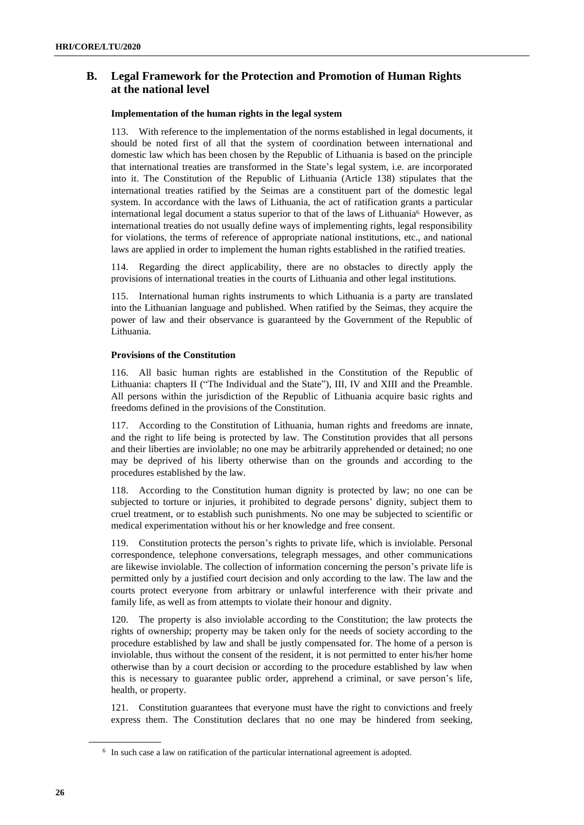## **B. Legal Framework for the Protection and Promotion of Human Rights at the national level**

#### **Implementation of the human rights in the legal system**

113. With reference to the implementation of the norms established in legal documents, it should be noted first of all that the system of coordination between international and domestic law which has been chosen by the Republic of Lithuania is based on the principle that international treaties are transformed in the State's legal system, i.e. are incorporated into it. The Constitution of the Republic of Lithuania (Article 138) stipulates that the international treaties ratified by the Seimas are a constituent part of the domestic legal system. In accordance with the laws of Lithuania, the act of ratification grants a particular international legal document a status superior to that of the laws of Lithuania<sup>6</sup>. However, as international treaties do not usually define ways of implementing rights, legal responsibility for violations, the terms of reference of appropriate national institutions, etc., and national laws are applied in order to implement the human rights established in the ratified treaties.

114. Regarding the direct applicability, there are no obstacles to directly apply the provisions of international treaties in the courts of Lithuania and other legal institutions.

115. International human rights instruments to which Lithuania is a party are translated into the Lithuanian language and published. When ratified by the Seimas, they acquire the power of law and their observance is guaranteed by the Government of the Republic of Lithuania.

#### **Provisions of the Constitution**

116. All basic human rights are established in the Constitution of the Republic of Lithuania: chapters II ("The Individual and the State"), III, IV and XIII and the Preamble. All persons within the jurisdiction of the Republic of Lithuania acquire basic rights and freedoms defined in the provisions of the Constitution.

117. According to the Constitution of Lithuania, human rights and freedoms are innate, and the right to life being is protected by law. The Constitution provides that all persons and their liberties are inviolable; no one may be arbitrarily apprehended or detained; no one may be deprived of his liberty otherwise than on the grounds and according to the procedures established by the law.

118. According to the Constitution human dignity is protected by law; no one can be subjected to torture or injuries, it prohibited to degrade persons' dignity, subject them to cruel treatment, or to establish such punishments. No one may be subjected to scientific or medical experimentation without his or her knowledge and free consent.

119. Constitution protects the person's rights to private life, which is inviolable. Personal correspondence, telephone conversations, telegraph messages, and other communications are likewise inviolable. The collection of information concerning the person's private life is permitted only by a justified court decision and only according to the law. The law and the courts protect everyone from arbitrary or unlawful interference with their private and family life, as well as from attempts to violate their honour and dignity.

120. The property is also inviolable according to the Constitution; the law protects the rights of ownership; property may be taken only for the needs of society according to the procedure established by law and shall be justly compensated for. The home of a person is inviolable, thus without the consent of the resident, it is not permitted to enter his/her home otherwise than by a court decision or according to the procedure established by law when this is necessary to guarantee public order, apprehend a criminal, or save person's life, health, or property.

121. Constitution guarantees that everyone must have the right to convictions and freely express them. The Constitution declares that no one may be hindered from seeking,

<sup>&</sup>lt;sup>6</sup> In such case a law on ratification of the particular international agreement is adopted.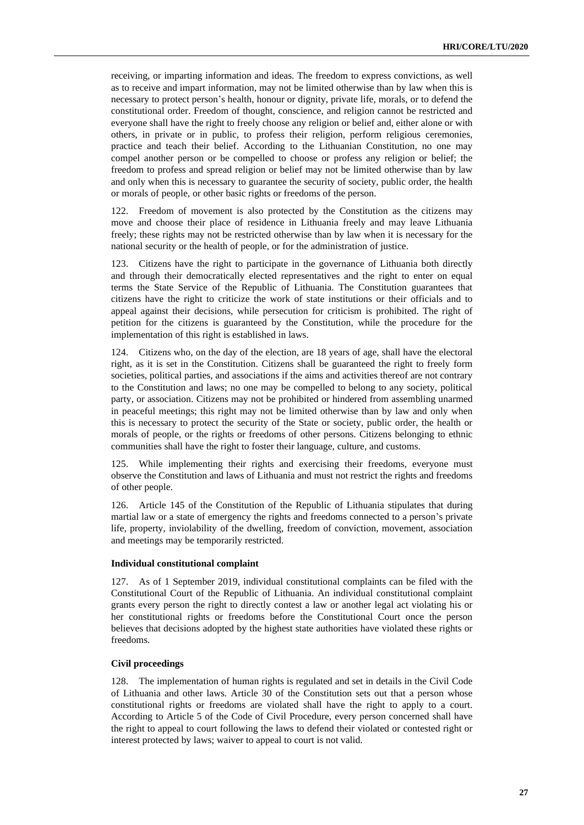receiving, or imparting information and ideas. The freedom to express convictions, as well as to receive and impart information, may not be limited otherwise than by law when this is necessary to protect person's health, honour or dignity, private life, morals, or to defend the constitutional order. Freedom of thought, conscience, and religion cannot be restricted and everyone shall have the right to freely choose any religion or belief and, either alone or with others, in private or in public, to profess their religion, perform religious ceremonies, practice and teach their belief. According to the Lithuanian Constitution, no one may compel another person or be compelled to choose or profess any religion or belief; the freedom to profess and spread religion or belief may not be limited otherwise than by law and only when this is necessary to guarantee the security of society, public order, the health or morals of people, or other basic rights or freedoms of the person.

122. Freedom of movement is also protected by the Constitution as the citizens may move and choose their place of residence in Lithuania freely and may leave Lithuania freely; these rights may not be restricted otherwise than by law when it is necessary for the national security or the health of people, or for the administration of justice.

123. Citizens have the right to participate in the governance of Lithuania both directly and through their democratically elected representatives and the right to enter on equal terms the State Service of the Republic of Lithuania. The Constitution guarantees that citizens have the right to criticize the work of state institutions or their officials and to appeal against their decisions, while persecution for criticism is prohibited. The right of petition for the citizens is guaranteed by the Constitution, while the procedure for the implementation of this right is established in laws.

124. Citizens who, on the day of the election, are 18 years of age, shall have the electoral right, as it is set in the Constitution. Citizens shall be guaranteed the right to freely form societies, political parties, and associations if the aims and activities thereof are not contrary to the Constitution and laws; no one may be compelled to belong to any society, political party, or association. Citizens may not be prohibited or hindered from assembling unarmed in peaceful meetings; this right may not be limited otherwise than by law and only when this is necessary to protect the security of the State or society, public order, the health or morals of people, or the rights or freedoms of other persons. Citizens belonging to ethnic communities shall have the right to foster their language, culture, and customs.

125. While implementing their rights and exercising their freedoms, everyone must observe the Constitution and laws of Lithuania and must not restrict the rights and freedoms of other people.

126. Article 145 of the Constitution of the Republic of Lithuania stipulates that during martial law or a state of emergency the rights and freedoms connected to a person's private life, property, inviolability of the dwelling, freedom of conviction, movement, association and meetings may be temporarily restricted.

#### **Individual constitutional complaint**

127. As of 1 September 2019, individual constitutional complaints can be filed with the Constitutional Court of the Republic of Lithuania. An individual constitutional complaint grants every person the right to directly contest a law or another legal act violating his or her constitutional rights or freedoms before the Constitutional Court once the person believes that decisions adopted by the highest state authorities have violated these rights or freedoms.

#### **Civil proceedings**

128. The implementation of human rights is regulated and set in details in the Civil Code of Lithuania and other laws. Article 30 of the Constitution sets out that a person whose constitutional rights or freedoms are violated shall have the right to apply to a court. According to Article 5 of the Code of Civil Procedure, every person concerned shall have the right to appeal to court following the laws to defend their violated or contested right or interest protected by laws; waiver to appeal to court is not valid.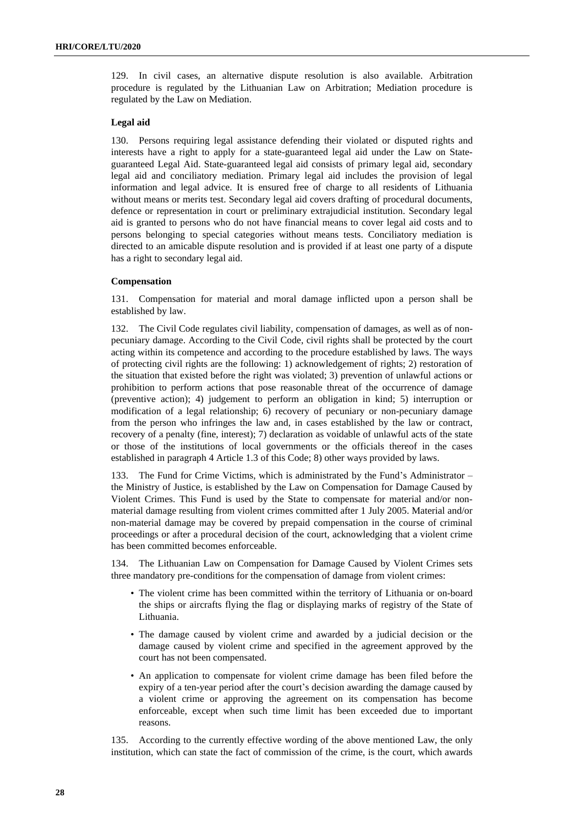129. In civil cases, an alternative dispute resolution is also available. Arbitration procedure is regulated by the Lithuanian Law on Arbitration; Mediation procedure is regulated by the Law on Mediation.

#### **Legal aid**

130. Persons requiring legal assistance defending their violated or disputed rights and interests have a right to apply for a state-guaranteed legal aid under the Law on Stateguaranteed Legal Aid. State-guaranteed legal aid consists of primary legal aid, secondary legal aid and conciliatory mediation. Primary legal aid includes the provision of legal information and legal advice. It is ensured free of charge to all residents of Lithuania without means or merits test. Secondary legal aid covers drafting of procedural documents, defence or representation in court or preliminary extrajudicial institution. Secondary legal aid is granted to persons who do not have financial means to cover legal aid costs and to persons belonging to special categories without means tests. Conciliatory mediation is directed to an amicable dispute resolution and is provided if at least one party of a dispute has a right to secondary legal aid.

#### **Compensation**

131. Compensation for material and moral damage inflicted upon a person shall be established by law.

132. The Civil Code regulates civil liability, compensation of damages, as well as of nonpecuniary damage. According to the Civil Code, civil rights shall be protected by the court acting within its competence and according to the procedure established by laws. The ways of protecting civil rights are the following: 1) acknowledgement of rights; 2) restoration of the situation that existed before the right was violated; 3) prevention of unlawful actions or prohibition to perform actions that pose reasonable threat of the occurrence of damage (preventive action); 4) judgement to perform an obligation in kind; 5) interruption or modification of a legal relationship; 6) recovery of pecuniary or non-pecuniary damage from the person who infringes the law and, in cases established by the law or contract, recovery of a penalty (fine, interest); 7) declaration as voidable of unlawful acts of the state or those of the institutions of local governments or the officials thereof in the cases established in paragraph 4 Article 1.3 of this Code; 8) other ways provided by laws.

133. The Fund for Crime Victims, which is administrated by the Fund's Administrator – the Ministry of Justice, is established by the Law on Compensation for Damage Caused by Violent Crimes. This Fund is used by the State to compensate for material and/or nonmaterial damage resulting from violent crimes committed after 1 July 2005. Material and/or non-material damage may be covered by prepaid compensation in the course of criminal proceedings or after a procedural decision of the court, acknowledging that a violent crime has been committed becomes enforceable.

134. The Lithuanian Law on Compensation for Damage Caused by Violent Crimes sets three mandatory pre-conditions for the compensation of damage from violent crimes:

- The violent crime has been committed within the territory of Lithuania or on-board the ships or aircrafts flying the flag or displaying marks of registry of the State of Lithuania.
- The damage caused by violent crime and awarded by a judicial decision or the damage caused by violent crime and specified in the agreement approved by the court has not been compensated.
- An application to compensate for violent crime damage has been filed before the expiry of a ten-year period after the court's decision awarding the damage caused by a violent crime or approving the agreement on its compensation has become enforceable, except when such time limit has been exceeded due to important reasons.

135. According to the currently effective wording of the above mentioned Law, the only institution, which can state the fact of commission of the crime, is the court, which awards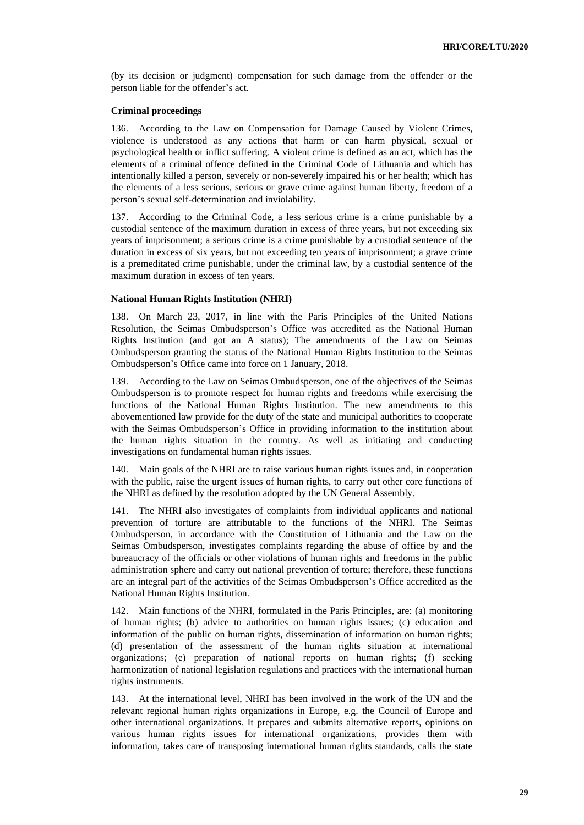(by its decision or judgment) compensation for such damage from the offender or the person liable for the offender's act.

#### **Criminal proceedings**

136. According to the Law on Compensation for Damage Caused by Violent Crimes, violence is understood as any actions that harm or can harm physical, sexual or psychological health or inflict suffering. A violent crime is defined as an act, which has the elements of a criminal offence defined in the Criminal Code of Lithuania and which has intentionally killed a person, severely or non-severely impaired his or her health; which has the elements of a less serious, serious or grave crime against human liberty, freedom of a person's sexual self-determination and inviolability.

137. According to the Criminal Code, a less serious crime is a crime punishable by a custodial sentence of the maximum duration in excess of three years, but not exceeding six years of imprisonment; a serious crime is a crime punishable by a custodial sentence of the duration in excess of six years, but not exceeding ten years of imprisonment; a grave crime is a premeditated crime punishable, under the criminal law, by a custodial sentence of the maximum duration in excess of ten years.

#### **National Human Rights Institution (NHRI)**

138. On March 23, 2017, in line with the Paris Principles of the United Nations Resolution, the Seimas Ombudsperson's Office was accredited as the National Human Rights Institution (and got an A status); The amendments of the Law on Seimas Ombudsperson granting the status of the National Human Rights Institution to the Seimas Ombudsperson's Office came into force on 1 January, 2018.

139. According to the Law on Seimas Ombudsperson, one of the objectives of the Seimas Ombudsperson is to promote respect for human rights and freedoms while exercising the functions of the National Human Rights Institution. The new amendments to this abovementioned law provide for the duty of the state and municipal authorities to cooperate with the Seimas Ombudsperson's Office in providing information to the institution about the human rights situation in the country. As well as initiating and conducting investigations on fundamental human rights issues.

140. Main goals of the NHRI are to raise various human rights issues and, in cooperation with the public, raise the urgent issues of human rights, to carry out other core functions of the NHRI as defined by the resolution adopted by the UN General Assembly.

141. The NHRI also investigates of complaints from individual applicants and national prevention of torture are attributable to the functions of the NHRI. The Seimas Ombudsperson, in accordance with the Constitution of Lithuania and the Law on the Seimas Ombudsperson, investigates complaints regarding the abuse of office by and the bureaucracy of the officials or other violations of human rights and freedoms in the public administration sphere and carry out national prevention of torture; therefore, these functions are an integral part of the activities of the Seimas Ombudsperson's Office accredited as the National Human Rights Institution.

142. Main functions of the NHRI, formulated in the Paris Principles, are: (a) monitoring of human rights; (b) advice to authorities on human rights issues; (c) education and information of the public on human rights, dissemination of information on human rights; (d) presentation of the assessment of the human rights situation at international organizations; (e) preparation of national reports on human rights; (f) seeking harmonization of national legislation regulations and practices with the international human rights instruments.

143. At the international level, NHRI has been involved in the work of the UN and the relevant regional human rights organizations in Europe, e.g. the Council of Europe and other international organizations. It prepares and submits alternative reports, opinions on various human rights issues for international organizations, provides them with information, takes care of transposing international human rights standards, calls the state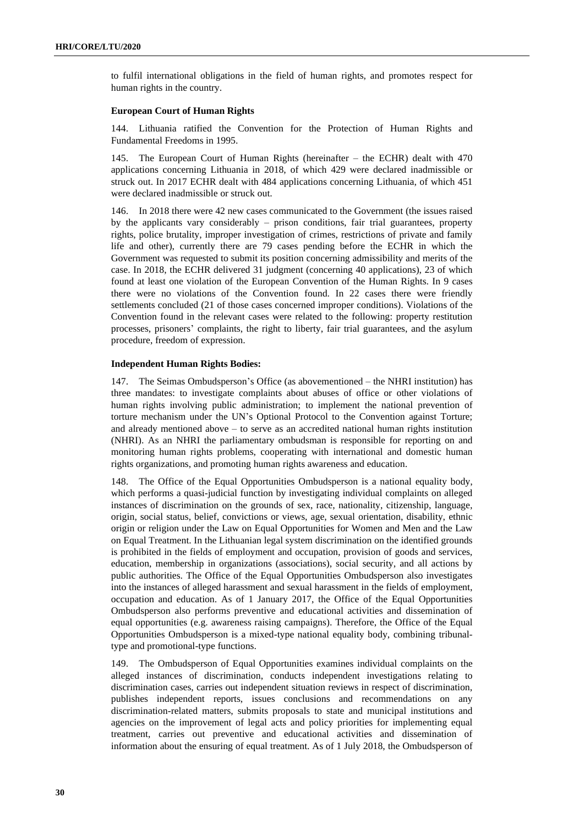to fulfil international obligations in the field of human rights, and promotes respect for human rights in the country.

#### **European Court of Human Rights**

144. Lithuania ratified the Convention for the Protection of Human Rights and Fundamental Freedoms in 1995.

145. The European Court of Human Rights (hereinafter – the ECHR) dealt with 470 applications concerning Lithuania in 2018, of which 429 were declared inadmissible or struck out. In 2017 ECHR dealt with 484 applications concerning Lithuania, of which 451 were declared inadmissible or struck out.

146. In 2018 there were 42 new cases communicated to the Government (the issues raised by the applicants vary considerably – prison conditions, fair trial guarantees, property rights, police brutality, improper investigation of crimes, restrictions of private and family life and other), currently there are 79 cases pending before the ECHR in which the Government was requested to submit its position concerning admissibility and merits of the case. In 2018, the ECHR delivered 31 judgment (concerning 40 applications), 23 of which found at least one violation of the European Convention of the Human Rights. In 9 cases there were no violations of the Convention found. In 22 cases there were friendly settlements concluded (21 of those cases concerned improper conditions). Violations of the Convention found in the relevant cases were related to the following: property restitution processes, prisoners' complaints, the right to liberty, fair trial guarantees, and the asylum procedure, freedom of expression.

#### **Independent Human Rights Bodies:**

147. The Seimas Ombudsperson's Office (as abovementioned – the NHRI institution) has three mandates: to investigate complaints about abuses of office or other violations of human rights involving public administration; to implement the national prevention of torture mechanism under the UN's Optional Protocol to the Convention against Torture; and already mentioned above – to serve as an accredited national human rights institution (NHRI). As an NHRI the parliamentary ombudsman is responsible for reporting on and monitoring human rights problems, cooperating with international and domestic human rights organizations, and promoting human rights awareness and education.

148. The Office of the Equal Opportunities Ombudsperson is a national equality body, which performs a quasi-judicial function by investigating individual complaints on alleged instances of discrimination on the grounds of sex, race, nationality, citizenship, language, origin, social status, belief, convictions or views, age, sexual orientation, disability, ethnic origin or religion under the Law on Equal Opportunities for Women and Men and the Law on Equal Treatment. In the Lithuanian legal system discrimination on the identified grounds is prohibited in the fields of employment and occupation, provision of goods and services, education, membership in organizations (associations), social security, and all actions by public authorities. The Office of the Equal Opportunities Ombudsperson also investigates into the instances of alleged harassment and sexual harassment in the fields of employment, occupation and education. As of 1 January 2017, the Office of the Equal Opportunities Ombudsperson also performs preventive and educational activities and dissemination of equal opportunities (e.g. awareness raising campaigns). Therefore, the Office of the Equal Opportunities Ombudsperson is a mixed-type national equality body, combining tribunaltype and promotional-type functions.

149. The Ombudsperson of Equal Opportunities examines individual complaints on the alleged instances of discrimination, conducts independent investigations relating to discrimination cases, carries out independent situation reviews in respect of discrimination, publishes independent reports, issues conclusions and recommendations on any discrimination-related matters, submits proposals to state and municipal institutions and agencies on the improvement of legal acts and policy priorities for implementing equal treatment, carries out preventive and educational activities and dissemination of information about the ensuring of equal treatment. As of 1 July 2018, the Ombudsperson of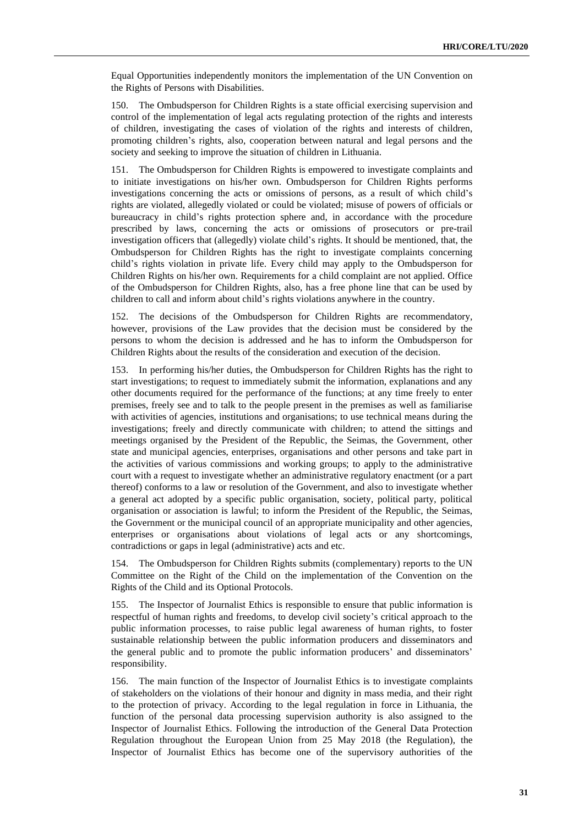Equal Opportunities independently monitors the implementation of the UN Convention on the Rights of Persons with Disabilities.

150. The Ombudsperson for Children Rights is a state official exercising supervision and control of the implementation of legal acts regulating protection of the rights and interests of children, investigating the cases of violation of the rights and interests of children, promoting children's rights, also, cooperation between natural and legal persons and the society and seeking to improve the situation of children in Lithuania.

151. The Ombudsperson for Children Rights is empowered to investigate complaints and to initiate investigations on his/her own. Ombudsperson for Children Rights performs investigations concerning the acts or omissions of persons, as a result of which child's rights are violated, allegedly violated or could be violated; misuse of powers of officials or bureaucracy in child's rights protection sphere and, in accordance with the procedure prescribed by laws, concerning the acts or omissions of prosecutors or pre-trail investigation officers that (allegedly) violate child's rights. It should be mentioned, that, the Ombudsperson for Children Rights has the right to investigate complaints concerning child's rights violation in private life. Every child may apply to the Ombudsperson for Children Rights on his/her own. Requirements for a child complaint are not applied. Office of the Ombudsperson for Children Rights, also, has a free phone line that can be used by children to call and inform about child's rights violations anywhere in the country.

152. The decisions of the Ombudsperson for Children Rights are recommendatory, however, provisions of the Law provides that the decision must be considered by the persons to whom the decision is addressed and he has to inform the Ombudsperson for Children Rights about the results of the consideration and execution of the decision.

153. In performing his/her duties, the Ombudsperson for Children Rights has the right to start investigations; to request to immediately submit the information, explanations and any other documents required for the performance of the functions; at any time freely to enter premises, freely see and to talk to the people present in the premises as well as familiarise with activities of agencies, institutions and organisations; to use technical means during the investigations; freely and directly communicate with children; to attend the sittings and meetings organised by the President of the Republic, the Seimas, the Government, other state and municipal agencies, enterprises, organisations and other persons and take part in the activities of various commissions and working groups; to apply to the administrative court with a request to investigate whether an administrative regulatory enactment (or a part thereof) conforms to a law or resolution of the Government, and also to investigate whether a general act adopted by a specific public organisation, society, political party, political organisation or association is lawful; to inform the President of the Republic, the Seimas, the Government or the municipal council of an appropriate municipality and other agencies, enterprises or organisations about violations of legal acts or any shortcomings, contradictions or gaps in legal (administrative) acts and etc.

154. The Ombudsperson for Children Rights submits (complementary) reports to the UN Committee on the Right of the Child on the implementation of the Convention on the Rights of the Child and its Optional Protocols.

155. The Inspector of Journalist Ethics is responsible to ensure that public information is respectful of human rights and freedoms, to develop civil society's critical approach to the public information processes, to raise public legal awareness of human rights, to foster sustainable relationship between the public information producers and disseminators and the general public and to promote the public information producers' and disseminators' responsibility.

156. The main function of the Inspector of Journalist Ethics is to investigate complaints of stakeholders on the violations of their honour and dignity in mass media, and their right to the protection of privacy. According to the legal regulation in force in Lithuania, the function of the personal data processing supervision authority is also assigned to the Inspector of Journalist Ethics. Following the introduction of the General Data Protection Regulation throughout the European Union from 25 May 2018 (the Regulation), the Inspector of Journalist Ethics has become one of the supervisory authorities of the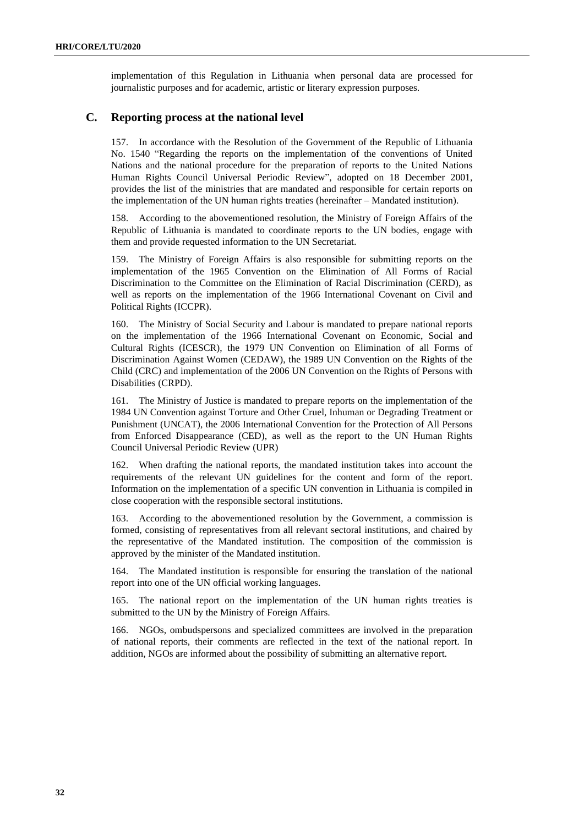implementation of this Regulation in Lithuania when personal data are processed for journalistic purposes and for academic, artistic or literary expression purposes.

### **C. Reporting process at the national level**

157. In accordance with the Resolution of the Government of the Republic of Lithuania No. 1540 "Regarding the reports on the implementation of the conventions of United Nations and the national procedure for the preparation of reports to the United Nations Human Rights Council Universal Periodic Review", adopted on 18 December 2001, provides the list of the ministries that are mandated and responsible for certain reports on the implementation of the UN human rights treaties (hereinafter – Mandated institution).

158. According to the abovementioned resolution, the Ministry of Foreign Affairs of the Republic of Lithuania is mandated to coordinate reports to the UN bodies, engage with them and provide requested information to the UN Secretariat.

159. The Ministry of Foreign Affairs is also responsible for submitting reports on the implementation of the 1965 Convention on the Elimination of All Forms of Racial Discrimination to the Committee on the Elimination of Racial Discrimination (CERD), as well as reports on the implementation of the 1966 International Covenant on Civil and Political Rights (ICCPR).

160. The Ministry of Social Security and Labour is mandated to prepare national reports on the implementation of the 1966 International Covenant on Economic, Social and Cultural Rights (ICESCR), the 1979 UN Convention on Elimination of all Forms of Discrimination Against Women (CEDAW), the 1989 UN Convention on the Rights of the Child (CRC) and implementation of the 2006 UN Convention on the Rights of Persons with Disabilities (CRPD).

161. The Ministry of Justice is mandated to prepare reports on the implementation of the 1984 UN Convention against Torture and Other Cruel, Inhuman or Degrading Treatment or Punishment (UNCAT), the 2006 International Convention for the Protection of All Persons from Enforced Disappearance (CED), as well as the report to the UN Human Rights Council Universal Periodic Review (UPR)

162. When drafting the national reports, the mandated institution takes into account the requirements of the relevant UN guidelines for the content and form of the report. Information on the implementation of a specific UN convention in Lithuania is compiled in close cooperation with the responsible sectoral institutions.

163. According to the abovementioned resolution by the Government, a commission is formed, consisting of representatives from all relevant sectoral institutions, and chaired by the representative of the Mandated institution. The composition of the commission is approved by the minister of the Mandated institution.

164. The Mandated institution is responsible for ensuring the translation of the national report into one of the UN official working languages.

165. The national report on the implementation of the UN human rights treaties is submitted to the UN by the Ministry of Foreign Affairs.

166. NGOs, ombudspersons and specialized committees are involved in the preparation of national reports, their comments are reflected in the text of the national report. In addition, NGOs are informed about the possibility of submitting an alternative report.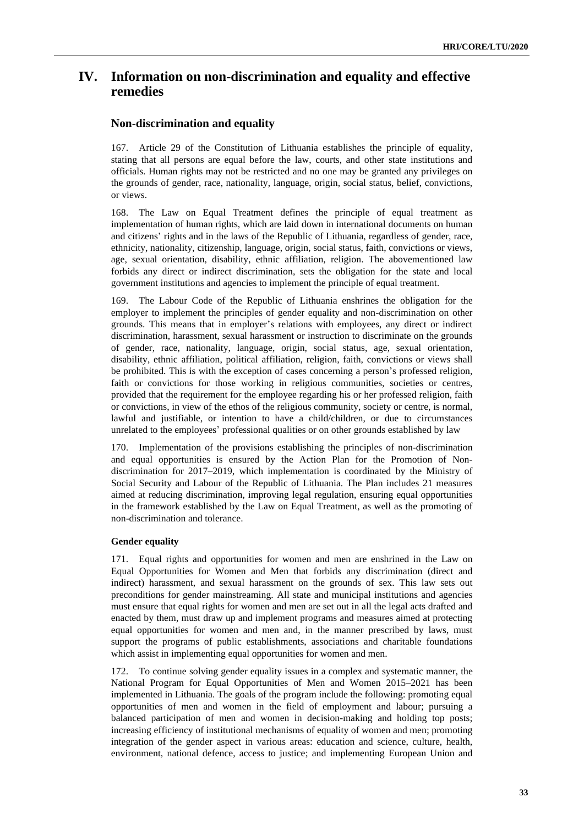## **IV. Information on non-discrimination and equality and effective remedies**

### **Non-discrimination and equality**

167. Article 29 of the Constitution of Lithuania establishes the principle of equality, stating that all persons are equal before the law, courts, and other state institutions and officials. Human rights may not be restricted and no one may be granted any privileges on the grounds of gender, race, nationality, language, origin, social status, belief, convictions, or views.

168. The Law on Equal Treatment defines the principle of equal treatment as implementation of human rights, which are laid down in international documents on human and citizens' rights and in the laws of the Republic of Lithuania, regardless of gender, race, ethnicity, nationality, citizenship, language, origin, social status, faith, convictions or views, age, sexual orientation, disability, ethnic affiliation, religion. The abovementioned law forbids any direct or indirect discrimination, sets the obligation for the state and local government institutions and agencies to implement the principle of equal treatment.

169. The Labour Code of the Republic of Lithuania enshrines the obligation for the employer to implement the principles of gender equality and non-discrimination on other grounds. This means that in employer's relations with employees, any direct or indirect discrimination, harassment, sexual harassment or instruction to discriminate on the grounds of gender, race, nationality, language, origin, social status, age, sexual orientation, disability, ethnic affiliation, political affiliation, religion, faith, convictions or views shall be prohibited. This is with the exception of cases concerning a person's professed religion, faith or convictions for those working in religious communities, societies or centres, provided that the requirement for the employee regarding his or her professed religion, faith or convictions, in view of the ethos of the religious community, society or centre, is normal, lawful and justifiable, or intention to have a child/children, or due to circumstances unrelated to the employees' professional qualities or on other grounds established by law

170. Implementation of the provisions establishing the principles of non-discrimination and equal opportunities is ensured by the Action Plan for the Promotion of Nondiscrimination for 2017–2019, which implementation is coordinated by the Ministry of Social Security and Labour of the Republic of Lithuania. The Plan includes 21 measures aimed at reducing discrimination, improving legal regulation, ensuring equal opportunities in the framework established by the Law on Equal Treatment, as well as the promoting of non-discrimination and tolerance.

#### **Gender equality**

171. Equal rights and opportunities for women and men are enshrined in the Law on Equal Opportunities for Women and Men that forbids any discrimination (direct and indirect) harassment, and sexual harassment on the grounds of sex. This law sets out preconditions for gender mainstreaming. All state and municipal institutions and agencies must ensure that equal rights for women and men are set out in all the legal acts drafted and enacted by them, must draw up and implement programs and measures aimed at protecting equal opportunities for women and men and, in the manner prescribed by laws, must support the programs of public establishments, associations and charitable foundations which assist in implementing equal opportunities for women and men.

172. To continue solving gender equality issues in a complex and systematic manner, the National Program for Equal Opportunities of Men and Women 2015–2021 has been implemented in Lithuania. The goals of the program include the following: promoting equal opportunities of men and women in the field of employment and labour; pursuing a balanced participation of men and women in decision-making and holding top posts; increasing efficiency of institutional mechanisms of equality of women and men; promoting integration of the gender aspect in various areas: education and science, culture, health, environment, national defence, access to justice; and implementing European Union and